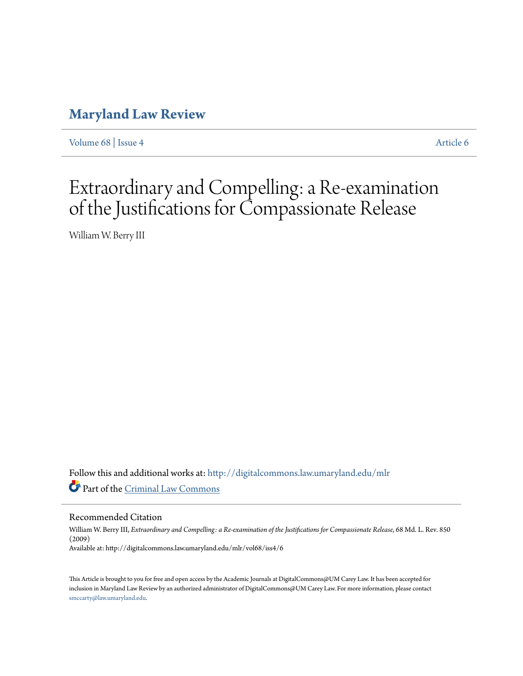# **[Maryland Law Review](http://digitalcommons.law.umaryland.edu/mlr?utm_source=digitalcommons.law.umaryland.edu%2Fmlr%2Fvol68%2Fiss4%2F6&utm_medium=PDF&utm_campaign=PDFCoverPages)**

[Volume 68](http://digitalcommons.law.umaryland.edu/mlr/vol68?utm_source=digitalcommons.law.umaryland.edu%2Fmlr%2Fvol68%2Fiss4%2F6&utm_medium=PDF&utm_campaign=PDFCoverPages) | [Issue 4](http://digitalcommons.law.umaryland.edu/mlr/vol68/iss4?utm_source=digitalcommons.law.umaryland.edu%2Fmlr%2Fvol68%2Fiss4%2F6&utm_medium=PDF&utm_campaign=PDFCoverPages) [Article 6](http://digitalcommons.law.umaryland.edu/mlr/vol68/iss4/6?utm_source=digitalcommons.law.umaryland.edu%2Fmlr%2Fvol68%2Fiss4%2F6&utm_medium=PDF&utm_campaign=PDFCoverPages)

# Extraordinary and Compelling: a Re-examination of the Justifications for Compassionate Release

William W. Berry III

Follow this and additional works at: [http://digitalcommons.law.umaryland.edu/mlr](http://digitalcommons.law.umaryland.edu/mlr?utm_source=digitalcommons.law.umaryland.edu%2Fmlr%2Fvol68%2Fiss4%2F6&utm_medium=PDF&utm_campaign=PDFCoverPages) Part of the [Criminal Law Commons](http://network.bepress.com/hgg/discipline/912?utm_source=digitalcommons.law.umaryland.edu%2Fmlr%2Fvol68%2Fiss4%2F6&utm_medium=PDF&utm_campaign=PDFCoverPages)

Recommended Citation

William W. Berry III, *Extraordinary and Compelling: a Re-examination of the Justifications for Compassionate Release*, 68 Md. L. Rev. 850 (2009) Available at: http://digitalcommons.law.umaryland.edu/mlr/vol68/iss4/6

This Article is brought to you for free and open access by the Academic Journals at DigitalCommons@UM Carey Law. It has been accepted for inclusion in Maryland Law Review by an authorized administrator of DigitalCommons@UM Carey Law. For more information, please contact [smccarty@law.umaryland.edu.](mailto:smccarty@law.umaryland.edu)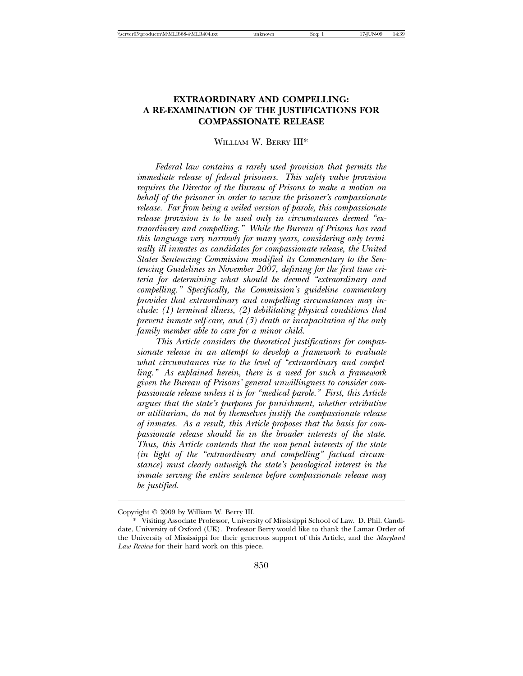## **EXTRAORDINARY AND COMPELLING: A RE-EXAMINATION OF THE JUSTIFICATIONS FOR COMPASSIONATE RELEASE**

#### WILLIAM W. BERRY III\*

*Federal law contains a rarely used provision that permits the immediate release of federal prisoners. This safety valve provision requires the Director of the Bureau of Prisons to make a motion on behalf of the prisoner in order to secure the prisoner's compassionate release. Far from being a veiled version of parole, this compassionate release provision is to be used only in circumstances deemed "extraordinary and compelling." While the Bureau of Prisons has read this language very narrowly for many years, considering only terminally ill inmates as candidates for compassionate release, the United States Sentencing Commission modified its Commentary to the Sentencing Guidelines in November 2007, defining for the first time criteria for determining what should be deemed "extraordinary and compelling." Specifically, the Commission's guideline commentary provides that extraordinary and compelling circumstances may include: (1) terminal illness, (2) debilitating physical conditions that prevent inmate self-care, and (3) death or incapacitation of the only family member able to care for a minor child.*

*This Article considers the theoretical justifications for compassionate release in an attempt to develop a framework to evaluate what circumstances rise to the level of "extraordinary and compelling." As explained herein, there is a need for such a framework given the Bureau of Prisons' general unwillingness to consider compassionate release unless it is for "medical parole." First, this Article argues that the state's purposes for punishment, whether retributive or utilitarian, do not by themselves justify the compassionate release of inmates. As a result, this Article proposes that the basis for compassionate release should lie in the broader interests of the state. Thus, this Article contends that the non-penal interests of the state (in light of the "extraordinary and compelling" factual circumstance) must clearly outweigh the state's penological interest in the inmate serving the entire sentence before compassionate release may be justified.*

Copyright 2009 by William W. Berry III.

<sup>\*</sup> Visiting Associate Professor, University of Mississippi School of Law. D. Phil. Candidate, University of Oxford (UK). Professor Berry would like to thank the Lamar Order of the University of Mississippi for their generous support of this Article, and the *Maryland Law Review* for their hard work on this piece.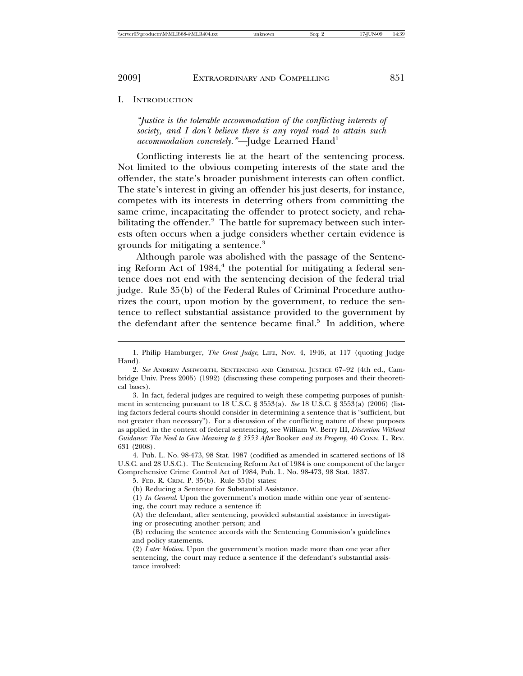I. INTRODUCTION

*"Justice is the tolerable accommodation of the conflicting interests of society, and I don't believe there is any royal road to attain such accommodation concretely.* "—Judge Learned Hand<sup>1</sup>

Conflicting interests lie at the heart of the sentencing process. Not limited to the obvious competing interests of the state and the offender, the state's broader punishment interests can often conflict. The state's interest in giving an offender his just deserts, for instance, competes with its interests in deterring others from committing the same crime, incapacitating the offender to protect society, and rehabilitating the offender.<sup>2</sup> The battle for supremacy between such interests often occurs when a judge considers whether certain evidence is grounds for mitigating a sentence.<sup>3</sup>

Although parole was abolished with the passage of the Sentencing Reform Act of 1984,<sup>4</sup> the potential for mitigating a federal sentence does not end with the sentencing decision of the federal trial judge. Rule 35(b) of the Federal Rules of Criminal Procedure authorizes the court, upon motion by the government, to reduce the sentence to reflect substantial assistance provided to the government by the defendant after the sentence became final.<sup>5</sup> In addition, where

4. Pub. L. No. 98-473, 98 Stat. 1987 (codified as amended in scattered sections of 18 U.S.C. and 28 U.S.C.). The Sentencing Reform Act of 1984 is one component of the larger Comprehensive Crime Control Act of 1984, Pub. L. No. 98-473, 98 Stat. 1837.

<sup>1.</sup> Philip Hamburger, *The Great Judge*, LIFE, Nov. 4, 1946, at 117 (quoting Judge Hand).

<sup>2.</sup> *See* ANDREW ASHWORTH, SENTENCING AND CRIMINAL JUSTICE 67–92 (4th ed., Cambridge Univ. Press 2005) (1992) (discussing these competing purposes and their theoretical bases).

<sup>3.</sup> In fact, federal judges are required to weigh these competing purposes of punishment in sentencing pursuant to 18 U.S.C. § 3553(a). *See* 18 U.S.C. § 3553(a) (2006) (listing factors federal courts should consider in determining a sentence that is "sufficient, but not greater than necessary"). For a discussion of the conflicting nature of these purposes as applied in the context of federal sentencing, see William W. Berry III, *Discretion Without Guidance: The Need to Give Meaning to § 3553 After* Booker *and its Progeny*, 40 CONN. L. REV. 631 (2008).

<sup>5.</sup> FED. R. CRIM. P. 35(b). Rule 35(b) states:

<sup>(</sup>b) Reducing a Sentence for Substantial Assistance.

<sup>(1)</sup> *In General*. Upon the government's motion made within one year of sentencing, the court may reduce a sentence if:

<sup>(</sup>A) the defendant, after sentencing, provided substantial assistance in investigating or prosecuting another person; and

<sup>(</sup>B) reducing the sentence accords with the Sentencing Commission's guidelines and policy statements.

<sup>(2)</sup> *Later Motion*. Upon the government's motion made more than one year after sentencing, the court may reduce a sentence if the defendant's substantial assistance involved: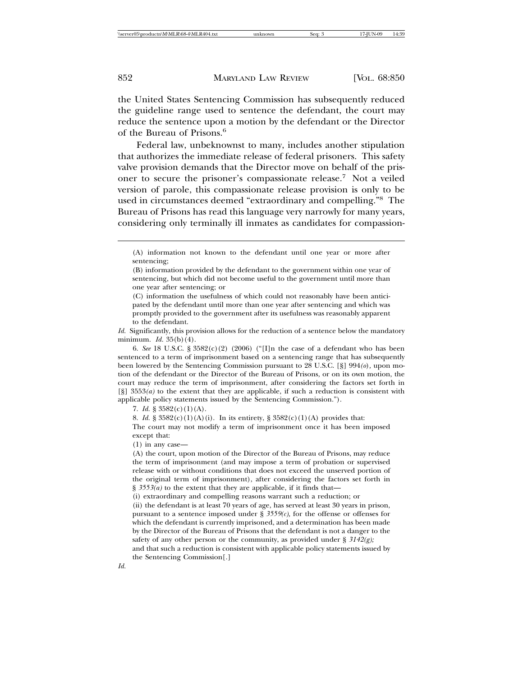the United States Sentencing Commission has subsequently reduced the guideline range used to sentence the defendant, the court may reduce the sentence upon a motion by the defendant or the Director of the Bureau of Prisons.<sup>6</sup>

Federal law, unbeknownst to many, includes another stipulation that authorizes the immediate release of federal prisoners. This safety valve provision demands that the Director move on behalf of the prisoner to secure the prisoner's compassionate release.7 Not a veiled version of parole, this compassionate release provision is only to be used in circumstances deemed "extraordinary and compelling."8 The Bureau of Prisons has read this language very narrowly for many years, considering only terminally ill inmates as candidates for compassion-

(B) information provided by the defendant to the government within one year of sentencing, but which did not become useful to the government until more than one year after sentencing; or

(C) information the usefulness of which could not reasonably have been anticipated by the defendant until more than one year after sentencing and which was promptly provided to the government after its usefulness was reasonably apparent to the defendant.

*Id.* Significantly, this provision allows for the reduction of a sentence below the mandatory minimum. *Id.* 35(b)(4).

6. *See* 18 U.S.C. § 3582(c)(2) (2006) ("[I]n the case of a defendant who has been sentenced to a term of imprisonment based on a sentencing range that has subsequently been lowered by the Sentencing Commission pursuant to 28 U.S.C. [§] 994*(o*)*,* upon motion of the defendant or the Director of the Bureau of Prisons, or on its own motion, the court may reduce the term of imprisonment, after considering the factors set forth in [§] 3553*(a)* to the extent that they are applicable, if such a reduction is consistent with applicable policy statements issued by the Sentencing Commission.").

7. *Id.*  $\S 3582(c)(1)(A)$ .

8. *Id.* § 3582(c)(1)(A)(i). In its entirety, § 3582(c)(1)(A) provides that: The court may not modify a term of imprisonment once it has been imposed except that:

(1) in any case—

(A) the court, upon motion of the Director of the Bureau of Prisons, may reduce the term of imprisonment (and may impose a term of probation or supervised release with or without conditions that does not exceed the unserved portion of the original term of imprisonment), after considering the factors set forth in § 3553(*a*) to the extent that they are applicable, if it finds that—

(i) extraordinary and compelling reasons warrant such a reduction; or

(ii) the defendant is at least 70 years of age, has served at least 30 years in prison, pursuant to a sentence imposed under  $\S$  3559( $c$ ), for the offense or offenses for which the defendant is currently imprisoned, and a determination has been made by the Director of the Bureau of Prisons that the defendant is not a danger to the safety of any other person or the community, as provided under § *3142(g);*

and that such a reduction is consistent with applicable policy statements issued by the Sentencing Commission[.]

<sup>(</sup>A) information not known to the defendant until one year or more after sentencing;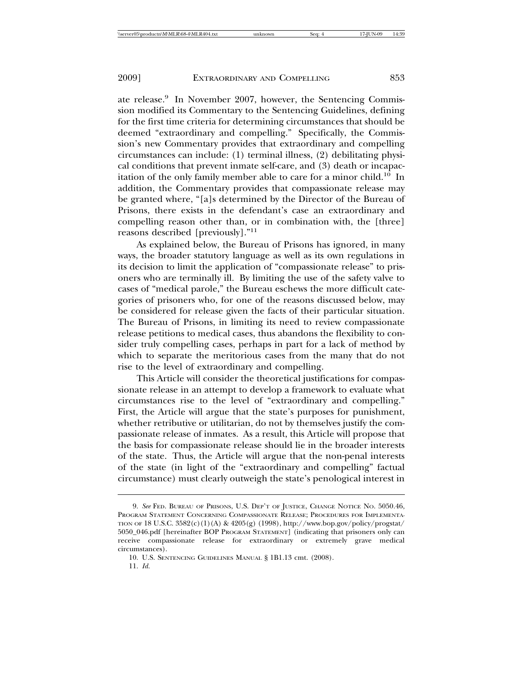ate release.<sup>9</sup> In November 2007, however, the Sentencing Commission modified its Commentary to the Sentencing Guidelines, defining for the first time criteria for determining circumstances that should be deemed "extraordinary and compelling." Specifically, the Commission's new Commentary provides that extraordinary and compelling circumstances can include: (1) terminal illness, (2) debilitating physical conditions that prevent inmate self-care, and (3) death or incapacitation of the only family member able to care for a minor child.<sup>10</sup> In addition, the Commentary provides that compassionate release may be granted where, "[a]s determined by the Director of the Bureau of Prisons, there exists in the defendant's case an extraordinary and compelling reason other than, or in combination with, the [three] reasons described [previously]."<sup>11</sup>

As explained below, the Bureau of Prisons has ignored, in many ways, the broader statutory language as well as its own regulations in its decision to limit the application of "compassionate release" to prisoners who are terminally ill. By limiting the use of the safety valve to cases of "medical parole," the Bureau eschews the more difficult categories of prisoners who, for one of the reasons discussed below, may be considered for release given the facts of their particular situation. The Bureau of Prisons, in limiting its need to review compassionate release petitions to medical cases, thus abandons the flexibility to consider truly compelling cases, perhaps in part for a lack of method by which to separate the meritorious cases from the many that do not rise to the level of extraordinary and compelling.

This Article will consider the theoretical justifications for compassionate release in an attempt to develop a framework to evaluate what circumstances rise to the level of "extraordinary and compelling." First, the Article will argue that the state's purposes for punishment, whether retributive or utilitarian, do not by themselves justify the compassionate release of inmates. As a result, this Article will propose that the basis for compassionate release should lie in the broader interests of the state. Thus, the Article will argue that the non-penal interests of the state (in light of the "extraordinary and compelling" factual circumstance) must clearly outweigh the state's penological interest in

<sup>9.</sup> *See* FED. BUREAU OF PRISONS, U.S. DEP'T OF JUSTICE, CHANGE NOTICE NO. 5050.46, PROGRAM STATEMENT CONCERNING COMPASSIONATE RELEASE; PROCEDURES FOR IMPLEMENTA-TION OF 18 U.S.C. 3582(c)(1)(A) & 4205(g) (1998), http://www.bop.gov/policy/progstat/ 5050\_046.pdf [hereinafter BOP PROGRAM STATEMENT] (indicating that prisoners only can receive compassionate release for extraordinary or extremely grave medical circumstances).

<sup>10.</sup> U.S. SENTENCING GUIDELINES MANUAL § 1B1.13 cmt. (2008).

<sup>11.</sup> *Id.*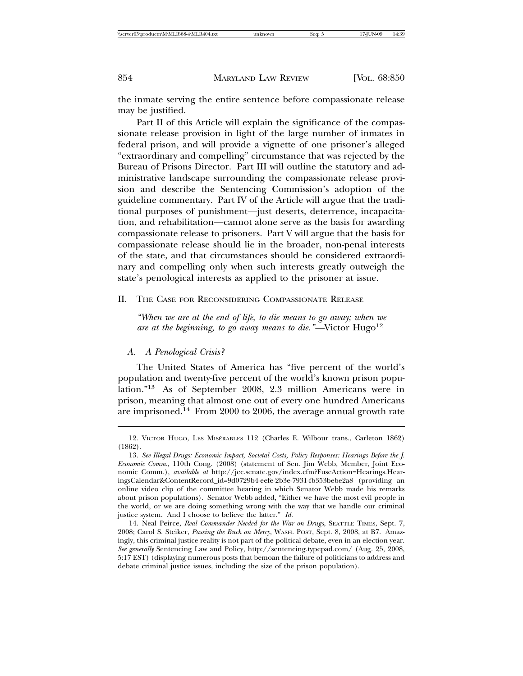the inmate serving the entire sentence before compassionate release may be justified.

Part II of this Article will explain the significance of the compassionate release provision in light of the large number of inmates in federal prison, and will provide a vignette of one prisoner's alleged "extraordinary and compelling" circumstance that was rejected by the Bureau of Prisons Director. Part III will outline the statutory and administrative landscape surrounding the compassionate release provision and describe the Sentencing Commission's adoption of the guideline commentary. Part IV of the Article will argue that the traditional purposes of punishment—just deserts, deterrence, incapacitation, and rehabilitation—cannot alone serve as the basis for awarding compassionate release to prisoners. Part V will argue that the basis for compassionate release should lie in the broader, non-penal interests of the state, and that circumstances should be considered extraordinary and compelling only when such interests greatly outweigh the state's penological interests as applied to the prisoner at issue.

#### II. THE CASE FOR RECONSIDERING COMPASSIONATE RELEASE

*"When we are at the end of life, to die means to go away; when we are at the beginning, to go away means to die.*"—Victor Hugo<sup>12</sup>

#### *A. A Penological Crisis?*

The United States of America has "five percent of the world's population and twenty-five percent of the world's known prison population."13 As of September 2008, 2.3 million Americans were in prison, meaning that almost one out of every one hundred Americans are imprisoned.<sup>14</sup> From 2000 to 2006, the average annual growth rate

<sup>12.</sup> VICTOR HUGO, LES MISÉRABLES 112 (Charles E. Wilbour trans., Carleton 1862) (1862).

<sup>13.</sup> *See Illegal Drugs: Economic Impact, Societal Costs, Policy Responses: Hearings Before the J. Economic Comm.*, 110th Cong. (2008) (statement of Sen. Jim Webb, Member, Joint Economic Comm.), *available at* http://jec.senate.gov/index.cfm?FuseAction=Hearings.HearingsCalendar&ContentRecord\_id=9d0729b4-eefe-2b3e-7931-fb353bebe2a8 (providing an online video clip of the committee hearing in which Senator Webb made his remarks about prison populations). Senator Webb added, "Either we have the most evil people in the world, or we are doing something wrong with the way that we handle our criminal justice system. And I choose to believe the latter." *Id.*

<sup>14.</sup> Neal Peirce, *Real Commander Needed for the War on Drugs*, SEATTLE TIMES, Sept. 7, 2008; Carol S. Steiker, *Passing the Buck on Mercy*, WASH. POST, Sept. 8, 2008, at B7. Amazingly, this criminal justice reality is not part of the political debate, even in an election year. *See generally* Sentencing Law and Policy, http://sentencing.typepad.com/ (Aug. 25, 2008, 5:17 EST) (displaying numerous posts that bemoan the failure of politicians to address and debate criminal justice issues, including the size of the prison population).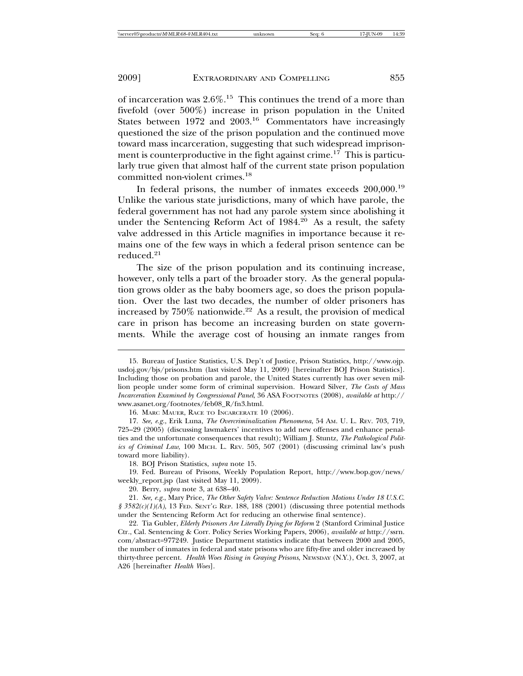of incarceration was  $2.6\%$ <sup>15</sup>. This continues the trend of a more than fivefold (over 500%) increase in prison population in the United States between 1972 and 2003.16 Commentators have increasingly questioned the size of the prison population and the continued move toward mass incarceration, suggesting that such widespread imprisonment is counterproductive in the fight against crime.<sup>17</sup> This is particularly true given that almost half of the current state prison population committed non-violent crimes.<sup>18</sup>

In federal prisons, the number of inmates exceeds 200,000.<sup>19</sup> Unlike the various state jurisdictions, many of which have parole, the federal government has not had any parole system since abolishing it under the Sentencing Reform Act of  $1984<sup>20</sup>$  As a result, the safety valve addressed in this Article magnifies in importance because it remains one of the few ways in which a federal prison sentence can be reduced.<sup>21</sup>

The size of the prison population and its continuing increase, however, only tells a part of the broader story. As the general population grows older as the baby boomers age, so does the prison population. Over the last two decades, the number of older prisoners has increased by  $750\%$  nationwide.<sup>22</sup> As a result, the provision of medical care in prison has become an increasing burden on state governments. While the average cost of housing an inmate ranges from

<sup>15.</sup> Bureau of Justice Statistics, U.S. Dep't of Justice, Prison Statistics, http://www.ojp. usdoj.gov/bjs/prisons.htm (last visited May 11, 2009) [hereinafter BOJ Prison Statistics]. Including those on probation and parole, the United States currently has over seven million people under some form of criminal supervision. Howard Silver, *The Costs of Mass Incarceration Examined by Congressional Panel*, 36 ASA FOOTNOTES (2008), *available at* http:// www.asanet.org/footnotes/feb08\_R/fn3.html.

<sup>16.</sup> MARC MAUER, RACE TO INCARCERATE 10 (2006).

<sup>17.</sup> *See, e.g.*, Erik Luna, *The Overcriminalization Phenomena*, 54 AM. U. L. REV. 703, 719, 725–29 (2005) (discussing lawmakers' incentives to add new offenses and enhance penalties and the unfortunate consequences that result); William J. Stuntz, *The Pathological Politics of Criminal Law*, 100 MICH. L. REV. 505, 507 (2001) (discussing criminal law's push toward more liability).

<sup>18.</sup> BOJ Prison Statistics, *supra* note 15.

<sup>19.</sup> Fed. Bureau of Prisons, Weekly Population Report, http://www.bop.gov/news/ weekly\_report.jsp (last visited May 11, 2009).

<sup>20.</sup> Berry, *supra* note 3, at 638–40.

<sup>21.</sup> *See, e.g.*, Mary Price, *The Other Safety Valve: Sentence Reduction Motions Under 18 U.S.C. § 3582(c)(1)(A)*, 13 FED. SENT'G REP. 188, 188 (2001) (discussing three potential methods under the Sentencing Reform Act for reducing an otherwise final sentence).

<sup>22.</sup> Tia Gubler, *Elderly Prisoners Are Literally Dying for Reform* 2 (Stanford Criminal Justice Ctr., Cal. Sentencing & Corr. Policy Series Working Papers, 2006), *available at* http://ssrn. com/abstract=977249. Justice Department statistics indicate that between 2000 and 2005, the number of inmates in federal and state prisons who are fifty-five and older increased by thirty-three percent. *Health Woes Rising in Graying Prisons*, NEWSDAY (N.Y.), Oct. 3, 2007, at A26 [hereinafter *Health Woes*].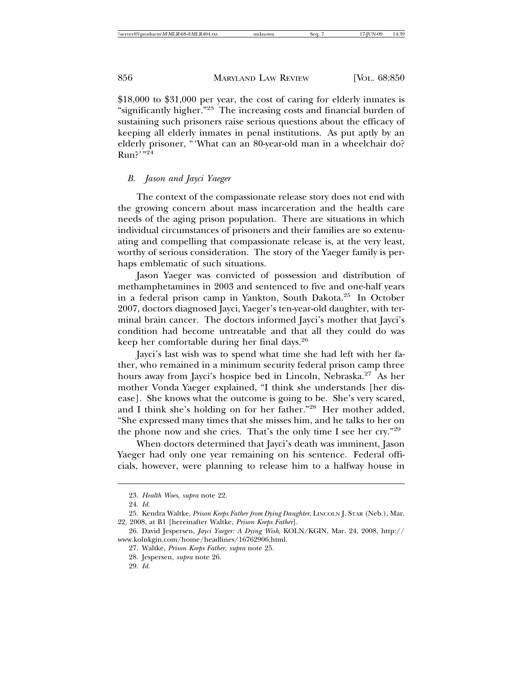\$18,000 to \$31,000 per year, the cost of caring for elderly inmates is "significantly higher."23 The increasing costs and financial burden of sustaining such prisoners raise serious questions about the efficacy of keeping all elderly inmates in penal institutions. As put aptly by an elderly prisoner, "'What can an 80-year-old man in a wheelchair do?  $Run$ ?"<sup>24</sup>

#### *B. Jason and Jayci Yaeger*

The context of the compassionate release story does not end with the growing concern about mass incarceration and the health care needs of the aging prison population. There are situations in which individual circumstances of prisoners and their families are so extenuating and compelling that compassionate release is, at the very least, worthy of serious consideration. The story of the Yaeger family is perhaps emblematic of such situations.

Jason Yaeger was convicted of possession and distribution of methamphetamines in 2003 and sentenced to five and one-half years in a federal prison camp in Yankton, South Dakota.25 In October 2007, doctors diagnosed Jayci, Yaeger's ten-year-old daughter, with terminal brain cancer. The doctors informed Jayci's mother that Jayci's condition had become untreatable and that all they could do was keep her comfortable during her final days.<sup>26</sup>

Jayci's last wish was to spend what time she had left with her father, who remained in a minimum security federal prison camp three hours away from Jayci's hospice bed in Lincoln, Nebraska.<sup>27</sup> As her mother Vonda Yaeger explained, "I think she understands [her disease]. She knows what the outcome is going to be. She's very scared, and I think she's holding on for her father."28 Her mother added, "She expressed many times that she misses him, and he talks to her on the phone now and she cries. That's the only time I see her cry."<sup>29</sup>

When doctors determined that Jayci's death was imminent, Jason Yaeger had only one year remaining on his sentence. Federal officials, however, were planning to release him to a halfway house in

<sup>23.</sup> *Health Woes*, *supra* note 22.

<sup>24.</sup> *Id.*

<sup>25.</sup> Kendra Waltke, *Prison Keeps Father from Dying Daughter*, LINCOLN J. STAR (Neb.), Mar. 22, 2008, at B1 [hereinafter Waltke, *Prison Keeps Father*].

<sup>26.</sup> David Jespersen, *Jayci Yaeger: A Dying Wish*, KOLN/KGIN, Mar. 24, 2008, http:// www.kolnkgin.com/home/headlines/16762906.html.

<sup>27.</sup> Waltke, *Prison Keeps Father*, *supra* note 25.

<sup>28.</sup> Jespersen, *supra* note 26.

<sup>29.</sup> *Id.*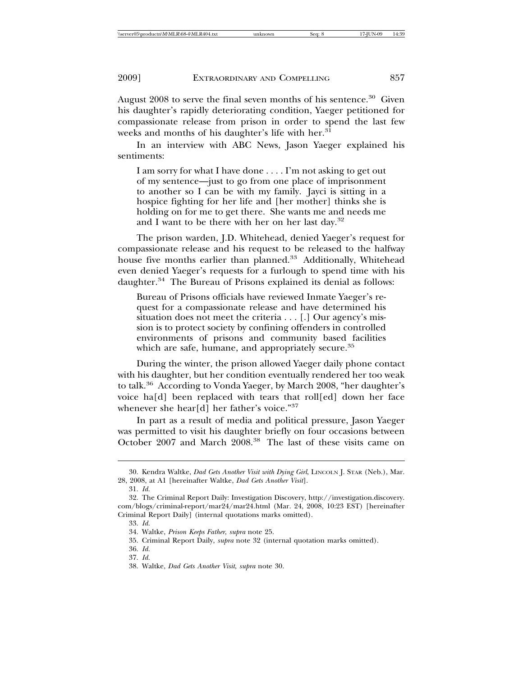August 2008 to serve the final seven months of his sentence.<sup>30</sup> Given his daughter's rapidly deteriorating condition, Yaeger petitioned for compassionate release from prison in order to spend the last few weeks and months of his daughter's life with her.<sup>31</sup>

In an interview with ABC News, Jason Yaeger explained his sentiments:

I am sorry for what I have done . . . . I'm not asking to get out of my sentence—just to go from one place of imprisonment to another so I can be with my family. Jayci is sitting in a hospice fighting for her life and [her mother] thinks she is holding on for me to get there. She wants me and needs me and I want to be there with her on her last day.<sup>32</sup>

The prison warden, J.D. Whitehead, denied Yaeger's request for compassionate release and his request to be released to the halfway house five months earlier than planned.<sup>33</sup> Additionally, Whitehead even denied Yaeger's requests for a furlough to spend time with his daughter.<sup>34</sup> The Bureau of Prisons explained its denial as follows:

Bureau of Prisons officials have reviewed Inmate Yaeger's request for a compassionate release and have determined his situation does not meet the criteria . . . [.] Our agency's mission is to protect society by confining offenders in controlled environments of prisons and community based facilities which are safe, humane, and appropriately secure.<sup>35</sup>

During the winter, the prison allowed Yaeger daily phone contact with his daughter, but her condition eventually rendered her too weak to talk.36 According to Vonda Yaeger, by March 2008, "her daughter's voice ha[d] been replaced with tears that roll[ed] down her face whenever she hear[d] her father's voice."<sup>37</sup>

In part as a result of media and political pressure, Jason Yaeger was permitted to visit his daughter briefly on four occasions between October 2007 and March 2008.<sup>38</sup> The last of these visits came on

<sup>30.</sup> Kendra Waltke, *Dad Gets Another Visit with Dying Girl*, LINCOLN J. STAR (Neb.), Mar. 28, 2008, at A1 [hereinafter Waltke, *Dad Gets Another Visit*].

<sup>31.</sup> *Id.*

<sup>32.</sup> The Criminal Report Daily: Investigation Discovery, http://investigation.discovery. com/blogs/criminal-report/mar24/mar24.html (Mar. 24, 2008, 10:23 EST) [hereinafter Criminal Report Daily] (internal quotations marks omitted).

<sup>33.</sup> *Id.*

<sup>34.</sup> Waltke, *Prison Keeps Father*, *supra* note 25.

<sup>35.</sup> Criminal Report Daily, *supra* note 32 (internal quotation marks omitted).

<sup>36.</sup> *Id.*

<sup>37.</sup> *Id.*

<sup>38.</sup> Waltke, *Dad Gets Another Visit*, *supra* note 30.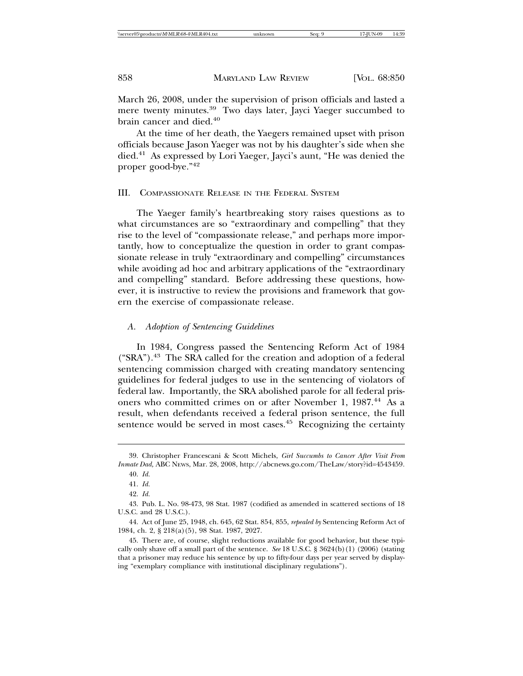March 26, 2008, under the supervision of prison officials and lasted a mere twenty minutes.<sup>39</sup> Two days later, Jayci Yaeger succumbed to brain cancer and died.<sup>40</sup>

At the time of her death, the Yaegers remained upset with prison officials because Jason Yaeger was not by his daughter's side when she died.41 As expressed by Lori Yaeger, Jayci's aunt, "He was denied the proper good-bye."<sup>42</sup>

#### III. COMPASSIONATE RELEASE IN THE FEDERAL SYSTEM

The Yaeger family's heartbreaking story raises questions as to what circumstances are so "extraordinary and compelling" that they rise to the level of "compassionate release," and perhaps more importantly, how to conceptualize the question in order to grant compassionate release in truly "extraordinary and compelling" circumstances while avoiding ad hoc and arbitrary applications of the "extraordinary and compelling" standard. Before addressing these questions, however, it is instructive to review the provisions and framework that govern the exercise of compassionate release.

#### *A. Adoption of Sentencing Guidelines*

In 1984, Congress passed the Sentencing Reform Act of 1984 ("SRA").<sup>43</sup> The SRA called for the creation and adoption of a federal sentencing commission charged with creating mandatory sentencing guidelines for federal judges to use in the sentencing of violators of federal law. Importantly, the SRA abolished parole for all federal prisoners who committed crimes on or after November 1, 1987.<sup>44</sup> As a result, when defendants received a federal prison sentence, the full sentence would be served in most cases.<sup>45</sup> Recognizing the certainty

<sup>39.</sup> Christopher Francescani & Scott Michels, *Girl Succumbs to Cancer After Visit From Inmate Dad,* ABC NEWS, Mar. 28, 2008, http://abcnews.go.com/TheLaw/story?id=4543459*.* 40. *Id.*

<sup>41.</sup> *Id.*

<sup>42.</sup> *Id.*

<sup>43.</sup> Pub. L. No. 98-473, 98 Stat. 1987 (codified as amended in scattered sections of 18 U.S.C. and 28 U.S.C.).

<sup>44.</sup> Act of June 25, 1948, ch. 645, 62 Stat. 854, 855, *repealed by* Sentencing Reform Act of 1984, ch. 2, § 218(a)(5), 98 Stat. 1987, 2027.

<sup>45.</sup> There are, of course, slight reductions available for good behavior, but these typically only shave off a small part of the sentence. *See* 18 U.S.C. § 3624(b)(1) (2006) (stating that a prisoner may reduce his sentence by up to fifty-four days per year served by displaying "exemplary compliance with institutional disciplinary regulations").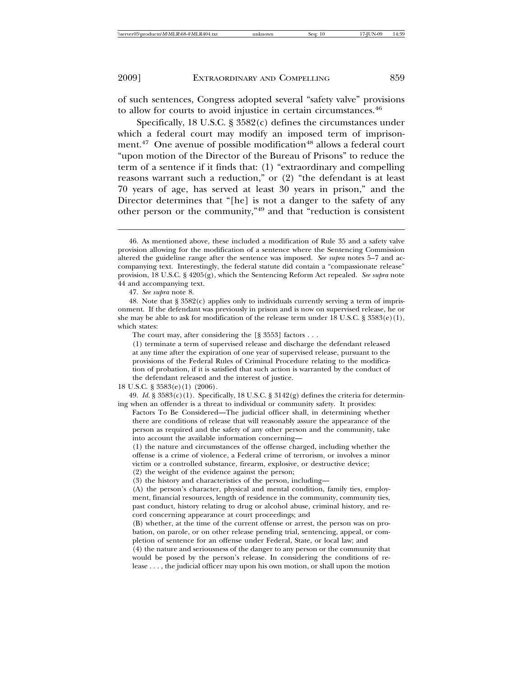of such sentences, Congress adopted several "safety valve" provisions to allow for courts to avoid injustice in certain circumstances.<sup>46</sup>

Specifically, 18 U.S.C. § 3582(c) defines the circumstances under which a federal court may modify an imposed term of imprisonment.<sup>47</sup> One avenue of possible modification<sup>48</sup> allows a federal court "upon motion of the Director of the Bureau of Prisons" to reduce the term of a sentence if it finds that: (1) "extraordinary and compelling reasons warrant such a reduction," or (2) "the defendant is at least 70 years of age, has served at least 30 years in prison," and the Director determines that "[he] is not a danger to the safety of any other person or the community,"49 and that "reduction is consistent

18 U.S.C. § 3583(e)(1) (2006)*.*

49. *Id.* §  $3583(c)(1)$ . Specifically, 18 U.S.C. §  $3142(g)$  defines the criteria for determining when an offender is a threat to individual or community safety. It provides:

Factors To Be Considered—The judicial officer shall, in determining whether there are conditions of release that will reasonably assure the appearance of the person as required and the safety of any other person and the community, take into account the available information concerning—

(1) the nature and circumstances of the offense charged, including whether the offense is a crime of violence, a Federal crime of terrorism, or involves a minor victim or a controlled substance, firearm, explosive, or destructive device;

(2) the weight of the evidence against the person;

<sup>46.</sup> As mentioned above, these included a modification of Rule 35 and a safety valve provision allowing for the modification of a sentence where the Sentencing Commission altered the guideline range after the sentence was imposed. *See supra* notes 5–7 and accompanying text. Interestingly, the federal statute did contain a "compassionate release" provision, 18 U.S.C. § 4205(g), which the Sentencing Reform Act repealed. *See supra* note 44 and accompanying text.

<sup>47.</sup> *See supra* note 8.

<sup>48.</sup> Note that  $\S 3582(c)$  applies only to individuals currently serving a term of imprisonment. If the defendant was previously in prison and is now on supervised release, he or she may be able to ask for modification of the release term under 18 U.S.C. §  $3583(e)(1)$ , which states:

The court may, after considering the [§ 3553] factors . . .

<sup>(1)</sup> terminate a term of supervised release and discharge the defendant released at any time after the expiration of one year of supervised release, pursuant to the provisions of the Federal Rules of Criminal Procedure relating to the modification of probation, if it is satisfied that such action is warranted by the conduct of the defendant released and the interest of justice.

<sup>(3)</sup> the history and characteristics of the person, including—

<sup>(</sup>A) the person's character, physical and mental condition, family ties, employment, financial resources, length of residence in the community, community ties, past conduct, history relating to drug or alcohol abuse, criminal history, and record concerning appearance at court proceedings; and

<sup>(</sup>B) whether, at the time of the current offense or arrest, the person was on probation, on parole, or on other release pending trial, sentencing, appeal, or completion of sentence for an offense under Federal, State, or local law; and

<sup>(4)</sup> the nature and seriousness of the danger to any person or the community that would be posed by the person's release. In considering the conditions of release . . . , the judicial officer may upon his own motion, or shall upon the motion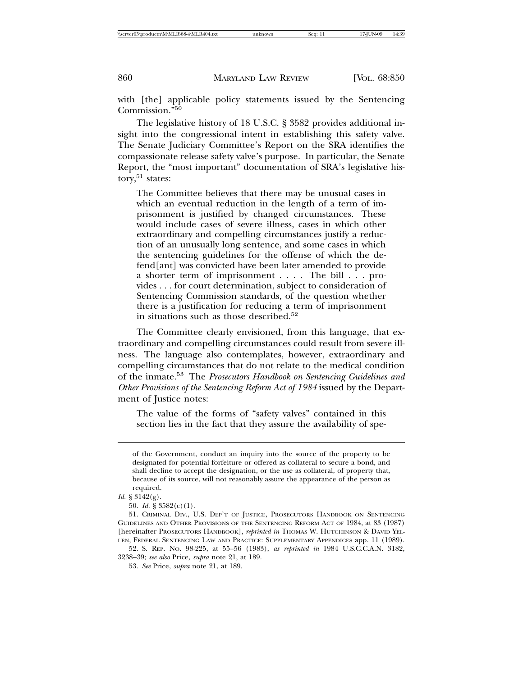with [the] applicable policy statements issued by the Sentencing Commission."<sup>50</sup>

The legislative history of 18 U.S.C. § 3582 provides additional insight into the congressional intent in establishing this safety valve. The Senate Judiciary Committee's Report on the SRA identifies the compassionate release safety valve's purpose. In particular, the Senate Report, the "most important" documentation of SRA's legislative history, $51$  states:

The Committee believes that there may be unusual cases in which an eventual reduction in the length of a term of imprisonment is justified by changed circumstances. These would include cases of severe illness, cases in which other extraordinary and compelling circumstances justify a reduction of an unusually long sentence, and some cases in which the sentencing guidelines for the offense of which the defend[ant] was convicted have been later amended to provide a shorter term of imprisonment . . . . The bill . . . provides . . . for court determination, subject to consideration of Sentencing Commission standards, of the question whether there is a justification for reducing a term of imprisonment in situations such as those described.<sup>52</sup>

The Committee clearly envisioned, from this language, that extraordinary and compelling circumstances could result from severe illness. The language also contemplates, however, extraordinary and compelling circumstances that do not relate to the medical condition of the inmate.53 The *Prosecutors Handbook on Sentencing Guidelines and Other Provisions of the Sentencing Reform Act of 1984* issued by the Department of Justice notes:

The value of the forms of "safety valves" contained in this section lies in the fact that they assure the availability of spe-

of the Government, conduct an inquiry into the source of the property to be designated for potential forfeiture or offered as collateral to secure a bond, and shall decline to accept the designation, or the use as collateral, of property that, because of its source, will not reasonably assure the appearance of the person as required.

*Id.* § 3142(g).

<sup>50.</sup> *Id.* § 3582(c)(1).

<sup>51.</sup> CRIMINAL DIV., U.S. DEP'T OF JUSTICE, PROSECUTORS HANDBOOK ON SENTENCING GUIDELINES AND OTHER PROVISIONS OF THE SENTENCING REFORM ACT OF 1984, at 83 (1987) [hereinafter PROSECUTORS HANDBOOK], *reprinted in* THOMAS W. HUTCHINSON & DAVID YEL-LEN, FEDERAL SENTENCING LAW AND PRACTICE: SUPPLEMENTARY APPENDICES app. 11 (1989).

<sup>52.</sup> S. REP. NO. 98-225, at 55–56 (1983), *as reprinted in* 1984 U.S.C.C.A.N. 3182, 3238–39; *see also* Price, *supra* note 21, at 189.

<sup>53.</sup> *See* Price, *supra* note 21, at 189.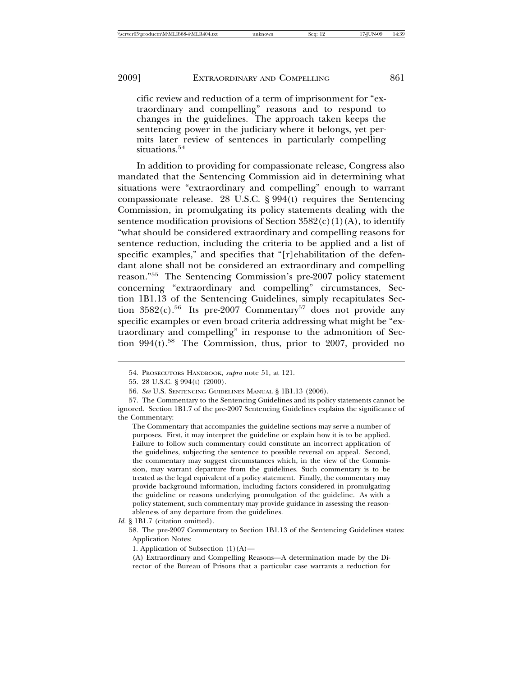cific review and reduction of a term of imprisonment for "extraordinary and compelling" reasons and to respond to changes in the guidelines. The approach taken keeps the sentencing power in the judiciary where it belongs, yet permits later review of sentences in particularly compelling situations.<sup>54</sup>

In addition to providing for compassionate release, Congress also mandated that the Sentencing Commission aid in determining what situations were "extraordinary and compelling" enough to warrant compassionate release. 28 U.S.C. § 994(t) requires the Sentencing Commission, in promulgating its policy statements dealing with the sentence modification provisions of Section  $3582(c)(1)(A)$ , to identify "what should be considered extraordinary and compelling reasons for sentence reduction, including the criteria to be applied and a list of specific examples," and specifies that "[r]ehabilitation of the defendant alone shall not be considered an extraordinary and compelling reason."55 The Sentencing Commission's pre-2007 policy statement concerning "extraordinary and compelling" circumstances, Section 1B1.13 of the Sentencing Guidelines, simply recapitulates Section  $3582(c)$ .<sup>56</sup> Its pre-2007 Commentary<sup>57</sup> does not provide any specific examples or even broad criteria addressing what might be "extraordinary and compelling" in response to the admonition of Section  $994(t)$ <sup>58</sup>. The Commission, thus, prior to 2007, provided no

<sup>54.</sup> PROSECUTORS HANDBOOK, *supra* note 51, at 121.

<sup>55. 28</sup> U.S.C. § 994(t) (2000).

<sup>56.</sup> *See* U.S. SENTENCING GUIDELINES MANUAL § 1B1.13 (2006).

<sup>57.</sup> The Commentary to the Sentencing Guidelines and its policy statements cannot be ignored. Section 1B1.7 of the pre-2007 Sentencing Guidelines explains the significance of the Commentary:

The Commentary that accompanies the guideline sections may serve a number of purposes. First, it may interpret the guideline or explain how it is to be applied. Failure to follow such commentary could constitute an incorrect application of the guidelines, subjecting the sentence to possible reversal on appeal. Second, the commentary may suggest circumstances which, in the view of the Commission, may warrant departure from the guidelines. Such commentary is to be treated as the legal equivalent of a policy statement. Finally, the commentary may provide background information, including factors considered in promulgating the guideline or reasons underlying promulgation of the guideline. As with a policy statement, such commentary may provide guidance in assessing the reasonableness of any departure from the guidelines.

*Id.* § 1B1.7 (citation omitted).

<sup>58.</sup> The pre-2007 Commentary to Section 1B1.13 of the Sentencing Guidelines states: Application Notes:

<sup>1.</sup> Application of Subsection (1)(A)—

<sup>(</sup>A) Extraordinary and Compelling Reasons—A determination made by the Director of the Bureau of Prisons that a particular case warrants a reduction for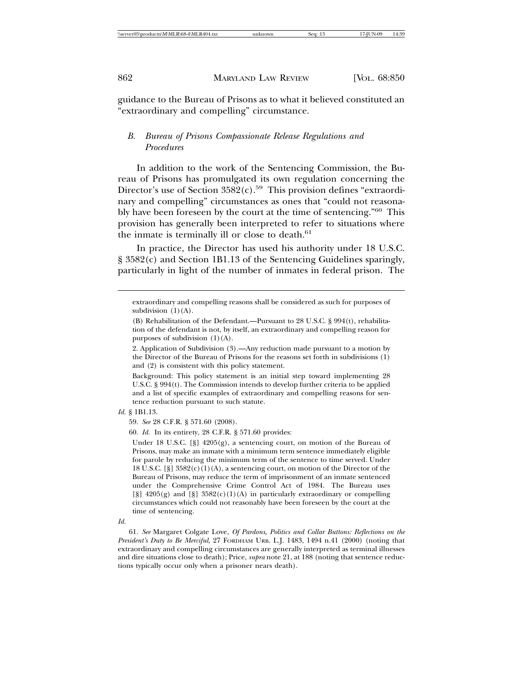guidance to the Bureau of Prisons as to what it believed constituted an "extraordinary and compelling" circumstance.

## *B. Bureau of Prisons Compassionate Release Regulations and Procedures*

In addition to the work of the Sentencing Commission, the Bureau of Prisons has promulgated its own regulation concerning the Director's use of Section  $3582(c)$ .<sup>59</sup> This provision defines "extraordinary and compelling" circumstances as ones that "could not reasonably have been foreseen by the court at the time of sentencing."60 This provision has generally been interpreted to refer to situations where the inmate is terminally ill or close to death.<sup>61</sup>

In practice, the Director has used his authority under 18 U.S.C. § 3582(c) and Section 1B1.13 of the Sentencing Guidelines sparingly, particularly in light of the number of inmates in federal prison. The

Background: This policy statement is an initial step toward implementing 28 U.S.C. § 994(t). The Commission intends to develop further criteria to be applied and a list of specific examples of extraordinary and compelling reasons for sentence reduction pursuant to such statute.

*Id.* § 1B1.13.

59. *See* 28 C.F.R. § 571.60 (2008).

60. *Id.* In its entirety, 28 C.F.R. § 571.60 provides:

Under 18 U.S.C.  $[\S]$  4205(g), a sentencing court, on motion of the Bureau of Prisons, may make an inmate with a minimum term sentence immediately eligible for parole by reducing the minimum term of the sentence to time served. Under 18 U.S.C.  $[\S]$  3582(c)(1)(A), a sentencing court, on motion of the Director of the Bureau of Prisons, may reduce the term of imprisonment of an inmate sentenced under the Comprehensive Crime Control Act of 1984. The Bureau uses  $[\S]$  4205(g) and  $[\S]$  3582(c)(1)(A) in particularly extraordinary or compelling circumstances which could not reasonably have been foreseen by the court at the time of sentencing.

*Id.*

61. *See* Margaret Colgate Love, *Of Pardons, Politics and Collar Buttons: Reflections on the President's Duty to Be Merciful*, 27 FORDHAM URB. L.J. 1483, 1494 n.41 (2000) (noting that extraordinary and compelling circumstances are generally interpreted as terminal illnesses and dire situations close to death); Price, *supra* note 21, at 188 (noting that sentence reductions typically occur only when a prisoner nears death).

extraordinary and compelling reasons shall be considered as such for purposes of subdivision  $(1)(A)$ .

<sup>(</sup>B) Rehabilitation of the Defendant.—Pursuant to 28 U.S.C. § 994(t), rehabilitation of the defendant is not, by itself, an extraordinary and compelling reason for purposes of subdivision (1)(A).

<sup>2.</sup> Application of Subdivision (3).—Any reduction made pursuant to a motion by the Director of the Bureau of Prisons for the reasons set forth in subdivisions (1) and (2) is consistent with this policy statement.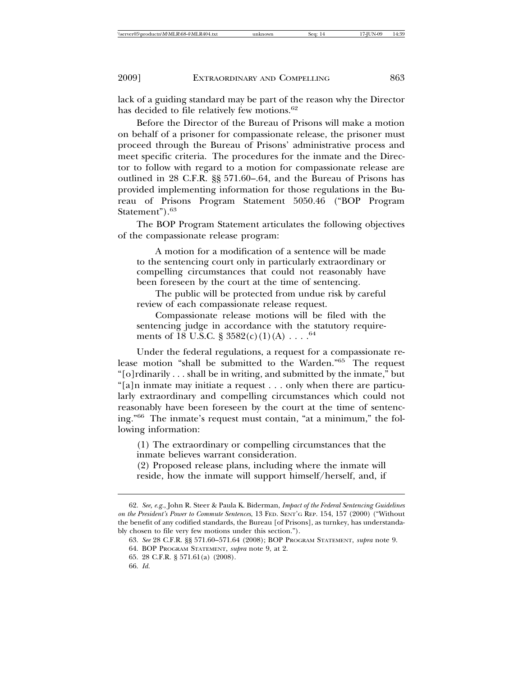lack of a guiding standard may be part of the reason why the Director has decided to file relatively few motions.<sup>62</sup>

Before the Director of the Bureau of Prisons will make a motion on behalf of a prisoner for compassionate release, the prisoner must proceed through the Bureau of Prisons' administrative process and meet specific criteria. The procedures for the inmate and the Director to follow with regard to a motion for compassionate release are outlined in 28 C.F.R. §§ 571.60–.64, and the Bureau of Prisons has provided implementing information for those regulations in the Bureau of Prisons Program Statement 5050.46 ("BOP Program Statement").<sup>63</sup>

The BOP Program Statement articulates the following objectives of the compassionate release program:

A motion for a modification of a sentence will be made to the sentencing court only in particularly extraordinary or compelling circumstances that could not reasonably have been foreseen by the court at the time of sentencing.

The public will be protected from undue risk by careful review of each compassionate release request.

Compassionate release motions will be filed with the sentencing judge in accordance with the statutory requirements of 18 U.S.C. §  $3582(c)(1)(A) \ldots$ .<sup>64</sup>

Under the federal regulations, a request for a compassionate release motion "shall be submitted to the Warden."65 The request "[o]rdinarily . . . shall be in writing, and submitted by the inmate," but "[a]n inmate may initiate a request . . . only when there are particularly extraordinary and compelling circumstances which could not reasonably have been foreseen by the court at the time of sentencing."66 The inmate's request must contain, "at a minimum," the following information:

(1) The extraordinary or compelling circumstances that the inmate believes warrant consideration.

(2) Proposed release plans, including where the inmate will reside, how the inmate will support himself/herself, and, if

<sup>62.</sup> *See, e.g.*, John R. Steer & Paula K. Biderman, *Impact of the Federal Sentencing Guidelines on the President's Power to Commute Sentences*, 13 FED. SENT'G REP. 154, 157 (2000) ("Without the benefit of any codified standards, the Bureau [of Prisons], as turnkey, has understandably chosen to file very few motions under this section.").

<sup>63.</sup> *See* 28 C.F.R. §§ 571.60–571.64 (2008); BOP PROGRAM STATEMENT, *supra* note 9.

<sup>64.</sup> BOP PROGRAM STATEMENT, *supra* note 9, at 2.

<sup>65. 28</sup> C.F.R. § 571.61(a) (2008).

<sup>66.</sup> *Id.*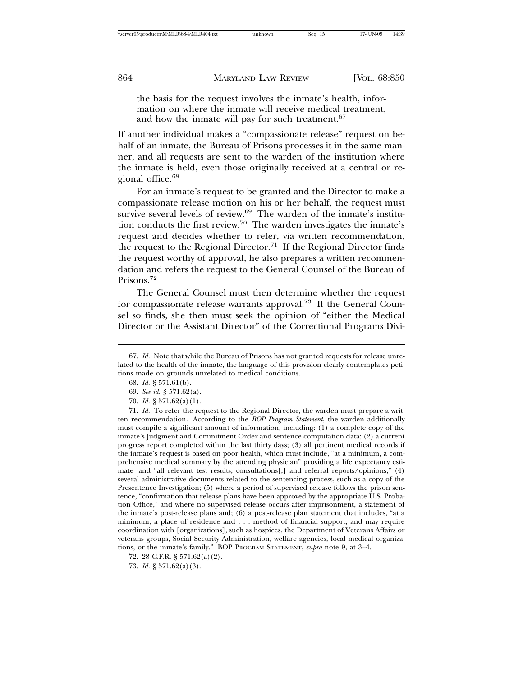the basis for the request involves the inmate's health, information on where the inmate will receive medical treatment, and how the inmate will pay for such treatment.<sup>67</sup>

If another individual makes a "compassionate release" request on behalf of an inmate, the Bureau of Prisons processes it in the same manner, and all requests are sent to the warden of the institution where the inmate is held, even those originally received at a central or regional office.<sup>68</sup>

For an inmate's request to be granted and the Director to make a compassionate release motion on his or her behalf, the request must survive several levels of review.<sup>69</sup> The warden of the inmate's institution conducts the first review.<sup>70</sup> The warden investigates the inmate's request and decides whether to refer, via written recommendation, the request to the Regional Director.<sup>71</sup> If the Regional Director finds the request worthy of approval, he also prepares a written recommendation and refers the request to the General Counsel of the Bureau of Prisons.<sup>72</sup>

The General Counsel must then determine whether the request for compassionate release warrants approval.<sup>73</sup> If the General Counsel so finds, she then must seek the opinion of "either the Medical Director or the Assistant Director" of the Correctional Programs Divi-

<sup>67.</sup> *Id.* Note that while the Bureau of Prisons has not granted requests for release unrelated to the health of the inmate, the language of this provision clearly contemplates petitions made on grounds unrelated to medical conditions.

<sup>68.</sup> *Id.* § 571.61(b).

<sup>69.</sup> *See id.* § 571.62(a).

<sup>70.</sup> *Id.* § 571.62(a)(1).

<sup>71.</sup> *Id.* To refer the request to the Regional Director, the warden must prepare a written recommendation. According to the *BOP Program Statement*, the warden additionally must compile a significant amount of information, including: (1) a complete copy of the inmate's Judgment and Commitment Order and sentence computation data; (2) a current progress report completed within the last thirty days; (3) all pertinent medical records if the inmate's request is based on poor health, which must include, "at a minimum, a comprehensive medical summary by the attending physician" providing a life expectancy estimate and "all relevant test results, consultations[,] and referral reports/opinions;" (4) several administrative documents related to the sentencing process, such as a copy of the Presentence Investigation; (5) where a period of supervised release follows the prison sentence, "confirmation that release plans have been approved by the appropriate U.S. Probation Office," and where no supervised release occurs after imprisonment, a statement of the inmate's post-release plans and; (6) a post-release plan statement that includes, "at a minimum, a place of residence and . . . method of financial support, and may require coordination with [organizations], such as hospices, the Department of Veterans Affairs or veterans groups, Social Security Administration, welfare agencies, local medical organizations, or the inmate's family." BOP PROGRAM STATEMENT, *supra* note 9, at 3–4.

<sup>72. 28</sup> C.F.R. § 571.62(a)(2).

<sup>73.</sup> *Id.* § 571.62(a)(3).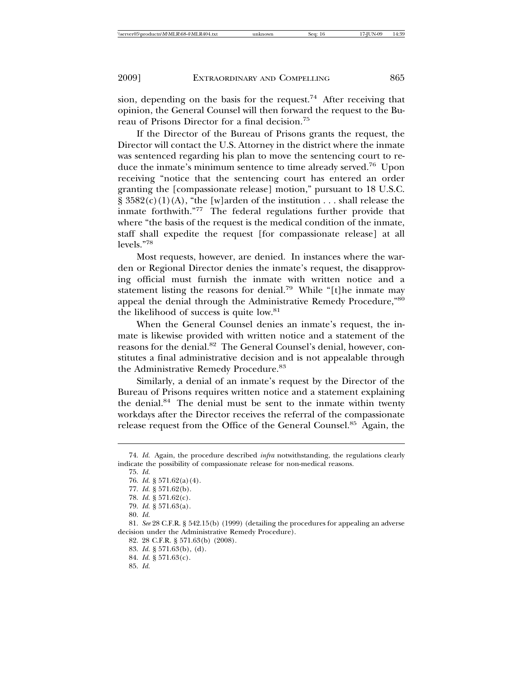sion, depending on the basis for the request.<sup>74</sup> After receiving that opinion, the General Counsel will then forward the request to the Bureau of Prisons Director for a final decision.<sup>75</sup>

If the Director of the Bureau of Prisons grants the request, the Director will contact the U.S. Attorney in the district where the inmate was sentenced regarding his plan to move the sentencing court to reduce the inmate's minimum sentence to time already served.76 Upon receiving "notice that the sentencing court has entered an order granting the [compassionate release] motion," pursuant to 18 U.S.C.  $\S$  3582(c)(1)(A), "the [w]arden of the institution . . . shall release the inmate forthwith."77 The federal regulations further provide that where "the basis of the request is the medical condition of the inmate, staff shall expedite the request [for compassionate release] at all levels."<sup>78</sup>

Most requests, however, are denied. In instances where the warden or Regional Director denies the inmate's request, the disapproving official must furnish the inmate with written notice and a statement listing the reasons for denial.79 While "[t]he inmate may appeal the denial through the Administrative Remedy Procedure,"<sup>80</sup> the likelihood of success is quite low.<sup>81</sup>

When the General Counsel denies an inmate's request, the inmate is likewise provided with written notice and a statement of the reasons for the denial.<sup>82</sup> The General Counsel's denial, however, constitutes a final administrative decision and is not appealable through the Administrative Remedy Procedure.<sup>83</sup>

Similarly, a denial of an inmate's request by the Director of the Bureau of Prisons requires written notice and a statement explaining the denial.<sup>84</sup> The denial must be sent to the inmate within twenty workdays after the Director receives the referral of the compassionate release request from the Office of the General Counsel.<sup>85</sup> Again, the

<sup>74.</sup> *Id.* Again, the procedure described *infra* notwithstanding, the regulations clearly indicate the possibility of compassionate release for non-medical reasons.

<sup>75.</sup> *Id.*

<sup>76.</sup> *Id.* § 571.62(a)(4).

<sup>77.</sup> *Id.* § 571.62(b).

<sup>78.</sup> *Id.* § 571.62(c).

<sup>79.</sup> *Id.* § 571.63(a).

<sup>80.</sup> *Id.*

<sup>81.</sup> *See* 28 C.F.R. § 542.15(b) (1999) (detailing the procedures for appealing an adverse decision under the Administrative Remedy Procedure).

<sup>82. 28</sup> C.F.R. § 571.63(b) (2008).

<sup>83.</sup> *Id.* § 571.63(b), (d).

<sup>84.</sup> *Id.* § 571.63(c).

<sup>85.</sup> *Id.*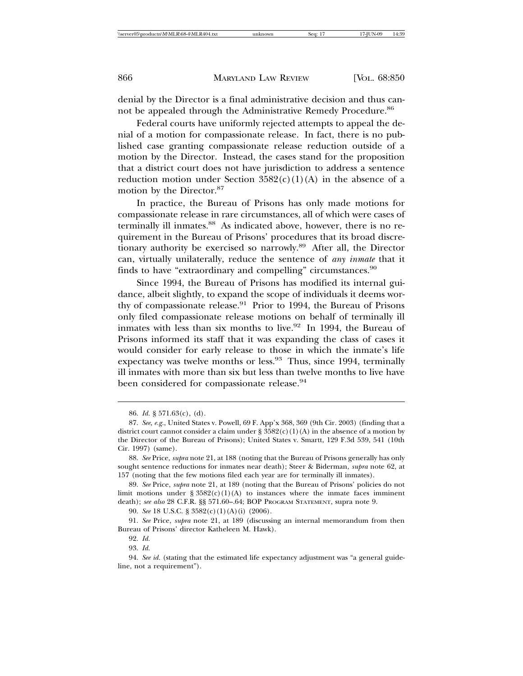denial by the Director is a final administrative decision and thus cannot be appealed through the Administrative Remedy Procedure.<sup>86</sup>

Federal courts have uniformly rejected attempts to appeal the denial of a motion for compassionate release. In fact, there is no published case granting compassionate release reduction outside of a motion by the Director. Instead, the cases stand for the proposition that a district court does not have jurisdiction to address a sentence reduction motion under Section  $3582(c)(1)(A)$  in the absence of a motion by the Director.<sup>87</sup>

In practice, the Bureau of Prisons has only made motions for compassionate release in rare circumstances, all of which were cases of terminally ill inmates.<sup>88</sup> As indicated above, however, there is no requirement in the Bureau of Prisons' procedures that its broad discretionary authority be exercised so narrowly.<sup>89</sup> After all, the Director can, virtually unilaterally, reduce the sentence of *any inmate* that it finds to have "extraordinary and compelling" circumstances.<sup>90</sup>

Since 1994, the Bureau of Prisons has modified its internal guidance, albeit slightly, to expand the scope of individuals it deems worthy of compassionate release. $91$  Prior to 1994, the Bureau of Prisons only filed compassionate release motions on behalf of terminally ill inmates with less than six months to live.<sup>92</sup> In 1994, the Bureau of Prisons informed its staff that it was expanding the class of cases it would consider for early release to those in which the inmate's life expectancy was twelve months or less.<sup>93</sup> Thus, since 1994, terminally ill inmates with more than six but less than twelve months to live have been considered for compassionate release.<sup>94</sup>

<sup>86.</sup> *Id.* § 571.63(c), (d).

<sup>87.</sup> *See, e.g.*, United States v. Powell, 69 F. App'x 368, 369 (9th Cir. 2003) (finding that a district court cannot consider a claim under §  $3582(c)(1)(A)$  in the absence of a motion by the Director of the Bureau of Prisons); United States v. Smartt, 129 F.3d 539, 541 (10th Cir. 1997) (same).

<sup>88.</sup> *See* Price, *supra* note 21, at 188 (noting that the Bureau of Prisons generally has only sought sentence reductions for inmates near death); Steer & Biderman, *supra* note 62, at 157 (noting that the few motions filed each year are for terminally ill inmates).

<sup>89.</sup> *See* Price, *supra* note 21, at 189 (noting that the Bureau of Prisons' policies do not limit motions under § 3582(c)(1)(A) to instances where the inmate faces imminent death); *see also* 28 C.F.R. §§ 571.60–.64; BOP PROGRAM STATEMENT, supra note 9.

<sup>90.</sup> *See* 18 U.S.C. § 3582(c)(1)(A)(i) (2006).

<sup>91.</sup> *See* Price, *supra* note 21, at 189 (discussing an internal memorandum from then Bureau of Prisons' director Katheleen M. Hawk).

<sup>92.</sup> *Id.*

<sup>93.</sup> *Id.*

<sup>94.</sup> *See id.* (stating that the estimated life expectancy adjustment was "a general guideline, not a requirement").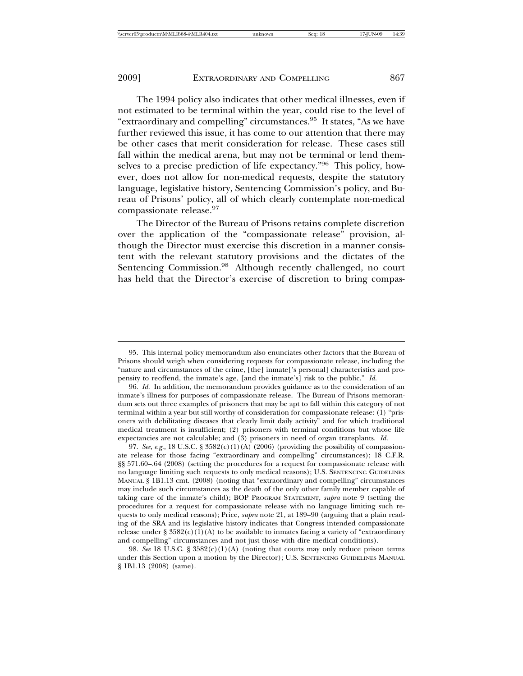The 1994 policy also indicates that other medical illnesses, even if not estimated to be terminal within the year, could rise to the level of "extraordinary and compelling" circumstances.95 It states, "As we have further reviewed this issue, it has come to our attention that there may be other cases that merit consideration for release. These cases still fall within the medical arena, but may not be terminal or lend themselves to a precise prediction of life expectancy."96 This policy, however, does not allow for non-medical requests, despite the statutory language, legislative history, Sentencing Commission's policy, and Bureau of Prisons' policy, all of which clearly contemplate non-medical compassionate release.<sup>97</sup>

The Director of the Bureau of Prisons retains complete discretion over the application of the "compassionate release" provision, although the Director must exercise this discretion in a manner consistent with the relevant statutory provisions and the dictates of the Sentencing Commission.<sup>98</sup> Although recently challenged, no court has held that the Director's exercise of discretion to bring compas-

<sup>95.</sup> This internal policy memorandum also enunciates other factors that the Bureau of Prisons should weigh when considering requests for compassionate release, including the "nature and circumstances of the crime, [the] inmate['s personal] characteristics and propensity to reoffend, the inmate's age, [and the inmate's] risk to the public." *Id.*

<sup>96.</sup> *Id.* In addition, the memorandum provides guidance as to the consideration of an inmate's illness for purposes of compassionate release. The Bureau of Prisons memorandum sets out three examples of prisoners that may be apt to fall within this category of not terminal within a year but still worthy of consideration for compassionate release: (1) "prisoners with debilitating diseases that clearly limit daily activity" and for which traditional medical treatment is insufficient; (2) prisoners with terminal conditions but whose life expectancies are not calculable; and (3) prisoners in need of organ transplants. *Id.*

<sup>97.</sup> *See, e.g.*, 18 U.S.C. § 3582(c)(1)(A) (2006) (providing the possibility of compassionate release for those facing "extraordinary and compelling" circumstances); 18 C.F.R. §§ 571.60–.64 (2008) (setting the procedures for a request for compassionate release with no language limiting such requests to only medical reasons); U.S. SENTENCING GUIDELINES MANUAL § 1B1.13 cmt. (2008) (noting that "extraordinary and compelling" circumstances may include such circumstances as the death of the only other family member capable of taking care of the inmate's child); BOP PROGRAM STATEMENT, *supra* note 9 (setting the procedures for a request for compassionate release with no language limiting such requests to only medical reasons); Price, *supra* note 21, at 189–90 (arguing that a plain reading of the SRA and its legislative history indicates that Congress intended compassionate release under §  $3582(c)(1)(A)$  to be available to inmates facing a variety of "extraordinary" and compelling" circumstances and not just those with dire medical conditions).

<sup>98.</sup> *See* 18 U.S.C. § 3582(c)(1)(A) (noting that courts may only reduce prison terms under this Section upon a motion by the Director); U.S. SENTENCING GUIDELINES MANUAL § 1B1.13 (2008) (same).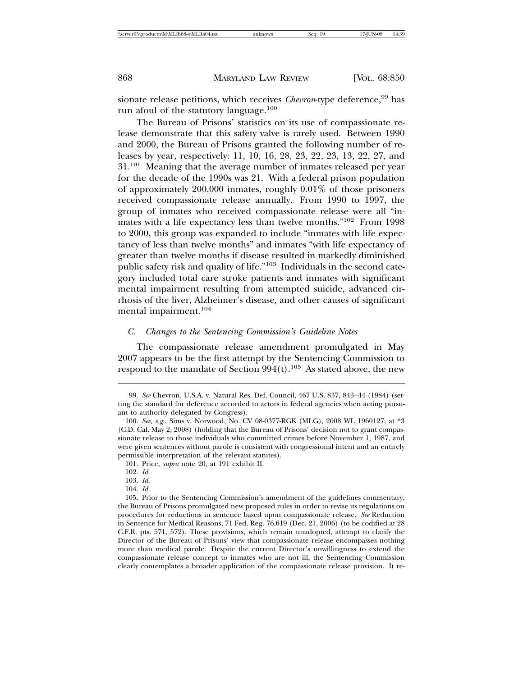sionate release petitions, which receives *Chevron*-type deference,<sup>99</sup> has run afoul of the statutory language.<sup>100</sup>

The Bureau of Prisons' statistics on its use of compassionate release demonstrate that this safety valve is rarely used. Between 1990 and 2000, the Bureau of Prisons granted the following number of releases by year, respectively: 11, 10, 16, 28, 23, 22, 23, 13, 22, 27, and  $31.^{101}$  Meaning that the average number of inmates released per year for the decade of the 1990s was 21. With a federal prison population of approximately 200,000 inmates, roughly 0.01% of those prisoners received compassionate release annually. From 1990 to 1997, the group of inmates who received compassionate release were all "inmates with a life expectancy less than twelve months."102 From 1998 to 2000, this group was expanded to include "inmates with life expectancy of less than twelve months" and inmates "with life expectancy of greater than twelve months if disease resulted in markedly diminished public safety risk and quality of life."103 Individuals in the second category included total care stroke patients and inmates with significant mental impairment resulting from attempted suicide, advanced cirrhosis of the liver, Alzheimer's disease, and other causes of significant mental impairment.104

#### *C. Changes to the Sentencing Commission's Guideline Notes*

The compassionate release amendment promulgated in May 2007 appears to be the first attempt by the Sentencing Commission to respond to the mandate of Section  $994(t).^{105}$  As stated above, the new

<sup>99.</sup> *See* Chevron, U.S.A. v. Natural Res. Def. Council, 467 U.S. 837, 843–44 (1984) (setting the standard for deference accorded to actors in federal agencies when acting pursuant to authority delegated by Congress).

<sup>100.</sup> *See, e.g.*, Sims v. Norwood, No. CV 08-0377-RGK (MLG), 2008 WL 1960127, at \*3 (C.D. Cal. May 2, 2008) (holding that the Bureau of Prisons' decision not to grant compassionate release to those individuals who committed crimes before November 1, 1987, and were given sentences without parole is consistent with congressional intent and an entirely permissible interpretation of the relevant statutes).

<sup>101.</sup> Price, *supra* note 20, at 191 exhibit II.

<sup>102.</sup> *Id.*

<sup>103.</sup> *Id.*

<sup>104.</sup> *Id.*

<sup>105.</sup> Prior to the Sentencing Commission's amendment of the guidelines commentary, the Bureau of Prisons promulgated new proposed rules in order to revise its regulations on procedures for reductions in sentence based upon compassionate release. *See* Reduction in Sentence for Medical Reasons, 71 Fed. Reg. 76,619 (Dec. 21, 2006) (to be codified at 28 C.F.R. pts. 571, 572). These provisions, which remain unadopted, attempt to clarify the Director of the Bureau of Prisons' view that compassionate release encompasses nothing more than medical parole. Despite the current Director's unwillingness to extend the compassionate release concept to inmates who are not ill, the Sentencing Commission clearly contemplates a broader application of the compassionate release provision. It re-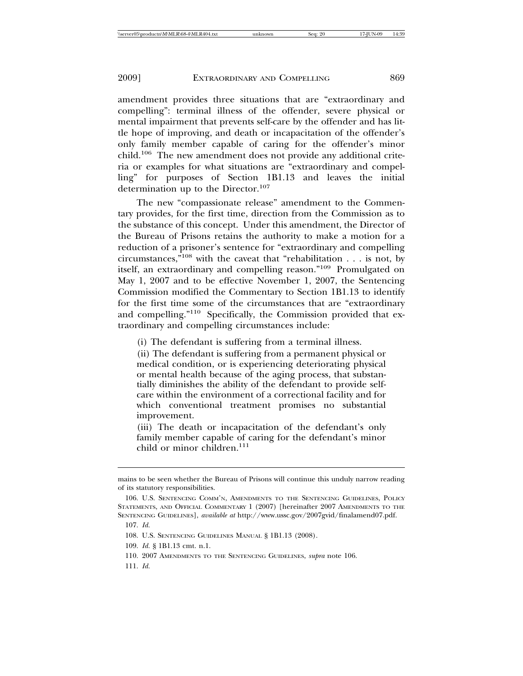amendment provides three situations that are "extraordinary and compelling": terminal illness of the offender, severe physical or mental impairment that prevents self-care by the offender and has little hope of improving, and death or incapacitation of the offender's only family member capable of caring for the offender's minor child.106 The new amendment does not provide any additional criteria or examples for what situations are "extraordinary and compelling" for purposes of Section 1B1.13 and leaves the initial determination up to the Director.<sup>107</sup>

The new "compassionate release" amendment to the Commentary provides, for the first time, direction from the Commission as to the substance of this concept. Under this amendment, the Director of the Bureau of Prisons retains the authority to make a motion for a reduction of a prisoner's sentence for "extraordinary and compelling circumstances,"108 with the caveat that "rehabilitation . . . is not, by itself, an extraordinary and compelling reason."109 Promulgated on May 1, 2007 and to be effective November 1, 2007, the Sentencing Commission modified the Commentary to Section 1B1.13 to identify for the first time some of the circumstances that are "extraordinary and compelling."110 Specifically, the Commission provided that extraordinary and compelling circumstances include:

(i) The defendant is suffering from a terminal illness.

(ii) The defendant is suffering from a permanent physical or medical condition, or is experiencing deteriorating physical or mental health because of the aging process, that substantially diminishes the ability of the defendant to provide selfcare within the environment of a correctional facility and for which conventional treatment promises no substantial improvement.

(iii) The death or incapacitation of the defendant's only family member capable of caring for the defendant's minor child or minor children.<sup>111</sup>

109. *Id.* § 1B1.13 cmt. n.1.

110. 2007 AMENDMENTS TO THE SENTENCING GUIDELINES, *supra* note 106.

111. *Id.*

mains to be seen whether the Bureau of Prisons will continue this unduly narrow reading of its statutory responsibilities.

<sup>106.</sup> U.S. SENTENCING COMM'N, AMENDMENTS TO THE SENTENCING GUIDELINES, POLICY STATEMENTS, AND OFFICIAL COMMENTARY 1 (2007) [hereinafter 2007 AMENDMENTS TO THE SENTENCING GUIDELINES], *available at* http://www.ussc.gov/2007gvid/finalamend07.pdf.

<sup>107.</sup> *Id.*

<sup>108.</sup> U.S. SENTENCING GUIDELINES MANUAL § 1B1.13 (2008).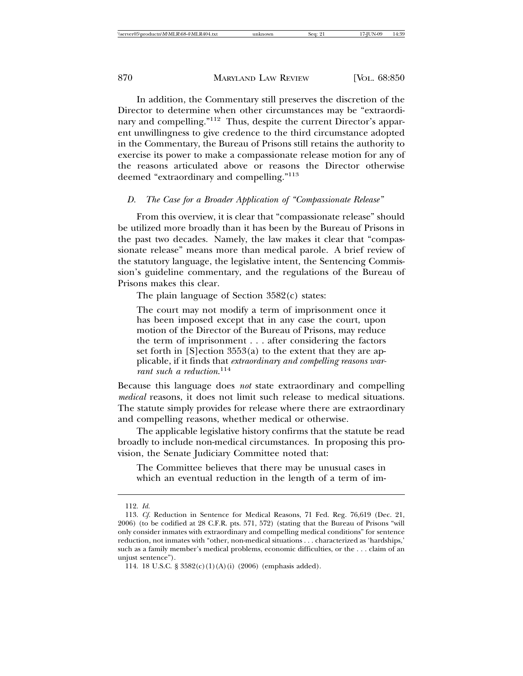In addition, the Commentary still preserves the discretion of the Director to determine when other circumstances may be "extraordinary and compelling."112 Thus, despite the current Director's apparent unwillingness to give credence to the third circumstance adopted in the Commentary, the Bureau of Prisons still retains the authority to exercise its power to make a compassionate release motion for any of the reasons articulated above or reasons the Director otherwise deemed "extraordinary and compelling."<sup>113</sup>

#### *D. The Case for a Broader Application of "Compassionate Release"*

From this overview, it is clear that "compassionate release" should be utilized more broadly than it has been by the Bureau of Prisons in the past two decades. Namely, the law makes it clear that "compassionate release" means more than medical parole. A brief review of the statutory language, the legislative intent, the Sentencing Commission's guideline commentary, and the regulations of the Bureau of Prisons makes this clear.

The plain language of Section 3582(c) states:

The court may not modify a term of imprisonment once it has been imposed except that in any case the court, upon motion of the Director of the Bureau of Prisons, may reduce the term of imprisonment . . . after considering the factors set forth in [S]ection 3553(a) to the extent that they are applicable, if it finds that *extraordinary and compelling reasons warrant such a reduction*. 114

Because this language does *not* state extraordinary and compelling *medical* reasons, it does not limit such release to medical situations. The statute simply provides for release where there are extraordinary and compelling reasons, whether medical or otherwise.

The applicable legislative history confirms that the statute be read broadly to include non-medical circumstances. In proposing this provision, the Senate Judiciary Committee noted that:

The Committee believes that there may be unusual cases in which an eventual reduction in the length of a term of im-

<sup>112.</sup> *Id.*

<sup>113.</sup> *Cf.* Reduction in Sentence for Medical Reasons, 71 Fed. Reg. 76,619 (Dec. 21, 2006) (to be codified at 28 C.F.R. pts. 571, 572) (stating that the Bureau of Prisons "will only consider inmates with extraordinary and compelling medical conditions" for sentence reduction, not inmates with "other, non-medical situations . . . characterized as 'hardships,' such as a family member's medical problems, economic difficulties, or the . . . claim of an unjust sentence").

<sup>114. 18</sup> U.S.C. § 3582(c)(1)(A)(i) (2006) (emphasis added).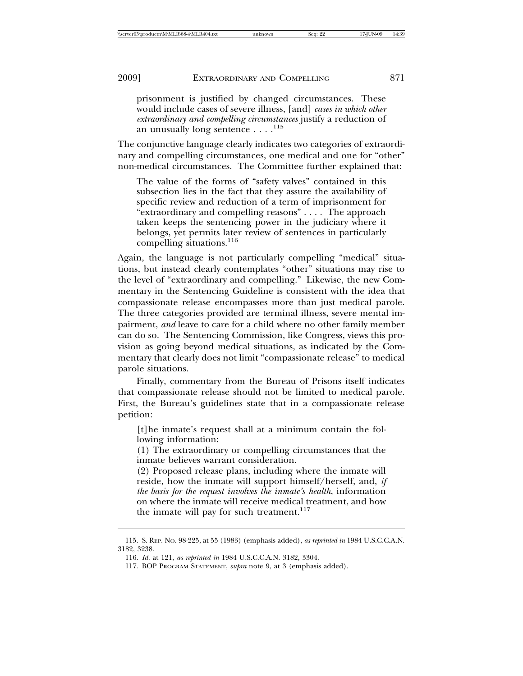prisonment is justified by changed circumstances. These would include cases of severe illness, [and] *cases in which other extraordinary and compelling circumstances* justify a reduction of an unusually long sentence  $\dots$ .<sup>115</sup>

The conjunctive language clearly indicates two categories of extraordinary and compelling circumstances, one medical and one for "other" non-medical circumstances. The Committee further explained that:

The value of the forms of "safety valves" contained in this subsection lies in the fact that they assure the availability of specific review and reduction of a term of imprisonment for "extraordinary and compelling reasons" . . . . The approach taken keeps the sentencing power in the judiciary where it belongs, yet permits later review of sentences in particularly compelling situations.<sup>116</sup>

Again, the language is not particularly compelling "medical" situations, but instead clearly contemplates "other" situations may rise to the level of "extraordinary and compelling." Likewise, the new Commentary in the Sentencing Guideline is consistent with the idea that compassionate release encompasses more than just medical parole. The three categories provided are terminal illness, severe mental impairment, *and* leave to care for a child where no other family member can do so. The Sentencing Commission, like Congress, views this provision as going beyond medical situations, as indicated by the Commentary that clearly does not limit "compassionate release" to medical parole situations.

Finally, commentary from the Bureau of Prisons itself indicates that compassionate release should not be limited to medical parole. First, the Bureau's guidelines state that in a compassionate release petition:

[t]he inmate's request shall at a minimum contain the following information:

(1) The extraordinary or compelling circumstances that the inmate believes warrant consideration.

(2) Proposed release plans, including where the inmate will reside, how the inmate will support himself/herself, and, *if the basis for the request involves the inmate's health*, information on where the inmate will receive medical treatment, and how the inmate will pay for such treatment.<sup>117</sup>

<sup>115.</sup> S. REP. NO. 98-225, at 55 (1983) (emphasis added), *as reprinted in* 1984 U.S.C.C.A.N. 3182, 3238.

<sup>116.</sup> *Id.* at 121, *as reprinted in* 1984 U.S.C.C.A.N. 3182, 3304.

<sup>117.</sup> BOP PROGRAM STATEMENT, *supra* note 9, at 3 (emphasis added).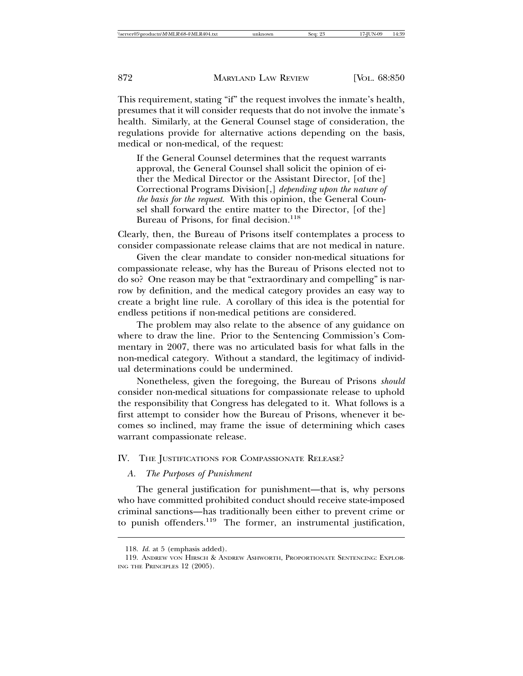This requirement, stating "if" the request involves the inmate's health, presumes that it will consider requests that do not involve the inmate's health. Similarly, at the General Counsel stage of consideration, the regulations provide for alternative actions depending on the basis, medical or non-medical, of the request:

If the General Counsel determines that the request warrants approval, the General Counsel shall solicit the opinion of either the Medical Director or the Assistant Director, [of the] Correctional Programs Division[,] *depending upon the nature of the basis for the request*. With this opinion, the General Counsel shall forward the entire matter to the Director, [of the] Bureau of Prisons, for final decision.<sup>118</sup>

Clearly, then, the Bureau of Prisons itself contemplates a process to consider compassionate release claims that are not medical in nature.

Given the clear mandate to consider non-medical situations for compassionate release, why has the Bureau of Prisons elected not to do so? One reason may be that "extraordinary and compelling" is narrow by definition, and the medical category provides an easy way to create a bright line rule. A corollary of this idea is the potential for endless petitions if non-medical petitions are considered.

The problem may also relate to the absence of any guidance on where to draw the line. Prior to the Sentencing Commission's Commentary in 2007, there was no articulated basis for what falls in the non-medical category. Without a standard, the legitimacy of individual determinations could be undermined.

Nonetheless, given the foregoing, the Bureau of Prisons *should* consider non-medical situations for compassionate release to uphold the responsibility that Congress has delegated to it. What follows is a first attempt to consider how the Bureau of Prisons, whenever it becomes so inclined, may frame the issue of determining which cases warrant compassionate release.

#### IV. THE JUSTIFICATIONS FOR COMPASSIONATE RELEASE?

#### *A. The Purposes of Punishment*

The general justification for punishment—that is, why persons who have committed prohibited conduct should receive state-imposed criminal sanctions—has traditionally been either to prevent crime or to punish offenders.<sup>119</sup> The former, an instrumental justification,

<sup>118.</sup> *Id.* at 5 (emphasis added).

<sup>119.</sup> ANDREW VON HIRSCH & ANDREW ASHWORTH, PROPORTIONATE SENTENCING: EXPLOR-ING THE PRINCIPLES 12 (2005).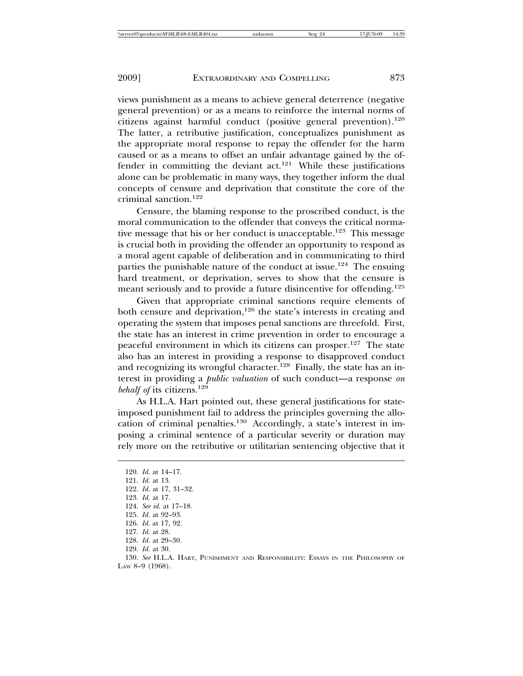views punishment as a means to achieve general deterrence (negative general prevention) or as a means to reinforce the internal norms of citizens against harmful conduct (positive general prevention).<sup>120</sup> The latter, a retributive justification, conceptualizes punishment as the appropriate moral response to repay the offender for the harm caused or as a means to offset an unfair advantage gained by the offender in committing the deviant  $act.<sup>121</sup>$  While these justifications alone can be problematic in many ways, they together inform the dual concepts of censure and deprivation that constitute the core of the criminal sanction.<sup>122</sup>

Censure, the blaming response to the proscribed conduct, is the moral communication to the offender that conveys the critical normative message that his or her conduct is unacceptable.<sup>123</sup> This message is crucial both in providing the offender an opportunity to respond as a moral agent capable of deliberation and in communicating to third parties the punishable nature of the conduct at issue.<sup>124</sup> The ensuing hard treatment, or deprivation, serves to show that the censure is meant seriously and to provide a future disincentive for offending.<sup>125</sup>

Given that appropriate criminal sanctions require elements of both censure and deprivation,<sup>126</sup> the state's interests in creating and operating the system that imposes penal sanctions are threefold. First, the state has an interest in crime prevention in order to encourage a peaceful environment in which its citizens can prosper.<sup>127</sup> The state also has an interest in providing a response to disapproved conduct and recognizing its wrongful character.<sup>128</sup> Finally, the state has an interest in providing a *public valuation* of such conduct—a response *on behalf of* its citizens.129

As H.L.A. Hart pointed out, these general justifications for stateimposed punishment fail to address the principles governing the allocation of criminal penalties.130 Accordingly, a state's interest in imposing a criminal sentence of a particular severity or duration may rely more on the retributive or utilitarian sentencing objective that it

- 122. *Id.* at 17, 31–32.
- 123. *Id.* at 17.

- 126. *Id*. at 17, 92.
- 127. *Id.* at 28.
- 128. *Id.* at 29–30.
- 129. *Id.* at 30.

<sup>120.</sup> *Id.* at 14–17.

<sup>121.</sup> *Id.* at 13.

<sup>124.</sup> *See id.* at 17–18.

<sup>125.</sup> *Id.* at 92–93.

<sup>130.</sup> *See* H.L.A. HART, PUNISHMENT AND RESPONSIBILITY: ESSAYS IN THE PHILOSOPHY OF LAW 8–9 (1968).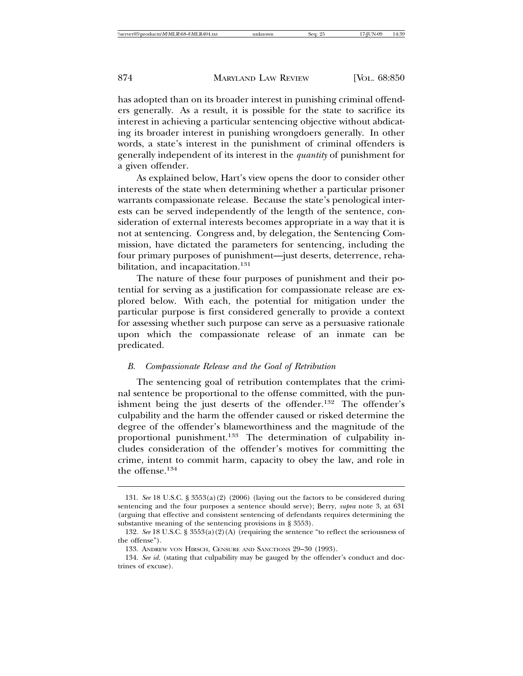has adopted than on its broader interest in punishing criminal offenders generally. As a result, it is possible for the state to sacrifice its interest in achieving a particular sentencing objective without abdicating its broader interest in punishing wrongdoers generally. In other words, a state's interest in the punishment of criminal offenders is generally independent of its interest in the *quantity* of punishment for a given offender.

As explained below, Hart's view opens the door to consider other interests of the state when determining whether a particular prisoner warrants compassionate release. Because the state's penological interests can be served independently of the length of the sentence, consideration of external interests becomes appropriate in a way that it is not at sentencing. Congress and, by delegation, the Sentencing Commission, have dictated the parameters for sentencing, including the four primary purposes of punishment—just deserts, deterrence, rehabilitation, and incapacitation.<sup>131</sup>

The nature of these four purposes of punishment and their potential for serving as a justification for compassionate release are explored below. With each, the potential for mitigation under the particular purpose is first considered generally to provide a context for assessing whether such purpose can serve as a persuasive rationale upon which the compassionate release of an inmate can be predicated.

#### *B. Compassionate Release and the Goal of Retribution*

The sentencing goal of retribution contemplates that the criminal sentence be proportional to the offense committed, with the punishment being the just deserts of the offender.<sup>132</sup> The offender's culpability and the harm the offender caused or risked determine the degree of the offender's blameworthiness and the magnitude of the proportional punishment.<sup>133</sup> The determination of culpability includes consideration of the offender's motives for committing the crime, intent to commit harm, capacity to obey the law, and role in the offense. $134$ 

<sup>131.</sup> *See* 18 U.S.C. § 3553(a)(2) (2006) (laying out the factors to be considered during sentencing and the four purposes a sentence should serve); Berry, *supra* note 3, at 631 (arguing that effective and consistent sentencing of defendants requires determining the substantive meaning of the sentencing provisions in § 3553).

<sup>132.</sup> *See* 18 U.S.C. § 3553(a)(2)(A) (requiring the sentence "to reflect the seriousness of the offense").

<sup>133.</sup> ANDREW VON HIRSCH, CENSURE AND SANCTIONS 29–30 (1993).

<sup>134.</sup> *See id.* (stating that culpability may be gauged by the offender's conduct and doctrines of excuse).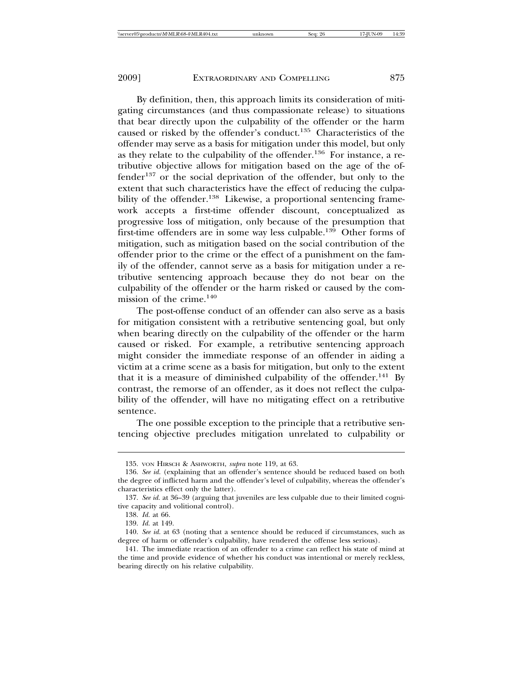By definition, then, this approach limits its consideration of mitigating circumstances (and thus compassionate release) to situations that bear directly upon the culpability of the offender or the harm caused or risked by the offender's conduct.135 Characteristics of the offender may serve as a basis for mitigation under this model, but only as they relate to the culpability of the offender.136 For instance, a retributive objective allows for mitigation based on the age of the of $fender<sup>137</sup>$  or the social deprivation of the offender, but only to the extent that such characteristics have the effect of reducing the culpability of the offender.<sup>138</sup> Likewise, a proportional sentencing framework accepts a first-time offender discount, conceptualized as progressive loss of mitigation, only because of the presumption that first-time offenders are in some way less culpable.<sup>139</sup> Other forms of mitigation, such as mitigation based on the social contribution of the offender prior to the crime or the effect of a punishment on the family of the offender, cannot serve as a basis for mitigation under a retributive sentencing approach because they do not bear on the culpability of the offender or the harm risked or caused by the commission of the crime. $140$ 

The post-offense conduct of an offender can also serve as a basis for mitigation consistent with a retributive sentencing goal, but only when bearing directly on the culpability of the offender or the harm caused or risked. For example, a retributive sentencing approach might consider the immediate response of an offender in aiding a victim at a crime scene as a basis for mitigation, but only to the extent that it is a measure of diminished culpability of the offender.<sup>141</sup> By contrast, the remorse of an offender, as it does not reflect the culpability of the offender, will have no mitigating effect on a retributive sentence.

The one possible exception to the principle that a retributive sentencing objective precludes mitigation unrelated to culpability or

<sup>135.</sup> VON HIRSCH & ASHWORTH, *supra* note 119, at 63.

<sup>136.</sup> *See id.* (explaining that an offender's sentence should be reduced based on both the degree of inflicted harm and the offender's level of culpability, whereas the offender's characteristics effect only the latter).

<sup>137.</sup> *See id.* at 36–39 (arguing that juveniles are less culpable due to their limited cognitive capacity and volitional control).

<sup>138.</sup> *Id.* at 66.

<sup>139.</sup> *Id.* at 149.

<sup>140.</sup> *See id.* at 63 (noting that a sentence should be reduced if circumstances, such as degree of harm or offender's culpability, have rendered the offense less serious).

<sup>141.</sup> The immediate reaction of an offender to a crime can reflect his state of mind at the time and provide evidence of whether his conduct was intentional or merely reckless, bearing directly on his relative culpability.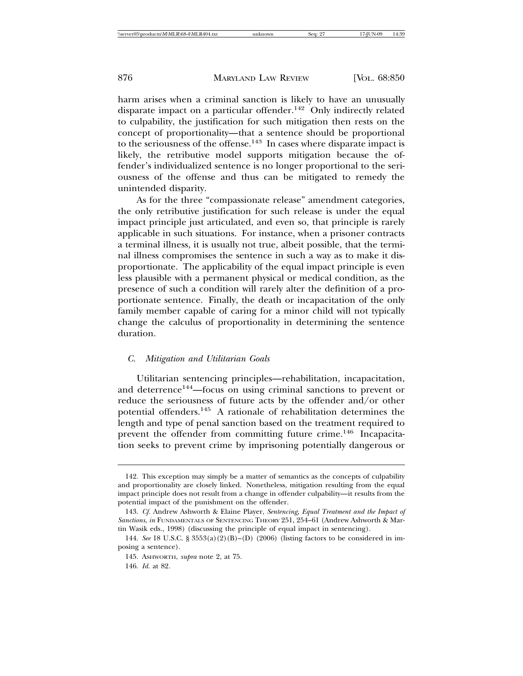harm arises when a criminal sanction is likely to have an unusually disparate impact on a particular offender.<sup>142</sup> Only indirectly related to culpability, the justification for such mitigation then rests on the concept of proportionality—that a sentence should be proportional to the seriousness of the offense. $143$  In cases where disparate impact is likely, the retributive model supports mitigation because the offender's individualized sentence is no longer proportional to the seriousness of the offense and thus can be mitigated to remedy the unintended disparity.

As for the three "compassionate release" amendment categories, the only retributive justification for such release is under the equal impact principle just articulated, and even so, that principle is rarely applicable in such situations. For instance, when a prisoner contracts a terminal illness, it is usually not true, albeit possible, that the terminal illness compromises the sentence in such a way as to make it disproportionate. The applicability of the equal impact principle is even less plausible with a permanent physical or medical condition, as the presence of such a condition will rarely alter the definition of a proportionate sentence. Finally, the death or incapacitation of the only family member capable of caring for a minor child will not typically change the calculus of proportionality in determining the sentence duration.

#### *C. Mitigation and Utilitarian Goals*

Utilitarian sentencing principles—rehabilitation, incapacitation, and deterrence<sup>144</sup>—focus on using criminal sanctions to prevent or reduce the seriousness of future acts by the offender and/or other potential offenders.145 A rationale of rehabilitation determines the length and type of penal sanction based on the treatment required to prevent the offender from committing future crime.<sup>146</sup> Incapacitation seeks to prevent crime by imprisoning potentially dangerous or

<sup>142.</sup> This exception may simply be a matter of semantics as the concepts of culpability and proportionality are closely linked. Nonetheless, mitigation resulting from the equal impact principle does not result from a change in offender culpability—it results from the potential impact of the punishment on the offender.

<sup>143.</sup> *Cf.* Andrew Ashworth & Elaine Player, *Sentencing, Equal Treatment and the Impact of Sanctions*, *in* FUNDAMENTALS OF SENTENCING THEORY 251, 254–61 (Andrew Ashworth & Martin Wasik eds., 1998) (discussing the principle of equal impact in sentencing).

<sup>144.</sup> *See* 18 U.S.C. § 3553(a)(2)(B)–(D) (2006) (listing factors to be considered in imposing a sentence).

<sup>145.</sup> ASHWORTH, *supra* note 2, at 75.

<sup>146.</sup> *Id.* at 82.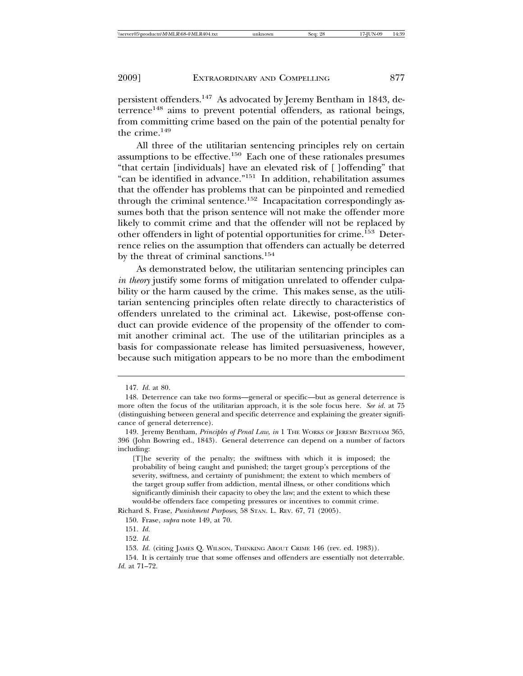persistent offenders.147 As advocated by Jeremy Bentham in 1843, deterrence<sup>148</sup> aims to prevent potential offenders, as rational beings, from committing crime based on the pain of the potential penalty for the crime.<sup>149</sup>

All three of the utilitarian sentencing principles rely on certain assumptions to be effective.150 Each one of these rationales presumes "that certain [individuals] have an elevated risk of [ ]offending" that "can be identified in advance."151 In addition, rehabilitation assumes that the offender has problems that can be pinpointed and remedied through the criminal sentence.<sup>152</sup> Incapacitation correspondingly assumes both that the prison sentence will not make the offender more likely to commit crime and that the offender will not be replaced by other offenders in light of potential opportunities for crime.153 Deterrence relies on the assumption that offenders can actually be deterred by the threat of criminal sanctions.<sup>154</sup>

As demonstrated below, the utilitarian sentencing principles can *in theory* justify some forms of mitigation unrelated to offender culpability or the harm caused by the crime. This makes sense, as the utilitarian sentencing principles often relate directly to characteristics of offenders unrelated to the criminal act. Likewise, post-offense conduct can provide evidence of the propensity of the offender to commit another criminal act. The use of the utilitarian principles as a basis for compassionate release has limited persuasiveness, however, because such mitigation appears to be no more than the embodiment

<sup>147.</sup> *Id.* at 80.

<sup>148.</sup> Deterrence can take two forms—general or specific—but as general deterrence is more often the focus of the utilitarian approach, it is the sole focus here. *See id.* at 75 (distinguishing between general and specific deterrence and explaining the greater significance of general deterrence).

<sup>149.</sup> Jeremy Bentham, *Principles of Penal Law*, *in* 1 THE WORKS OF JEREMY BENTHAM 365, 396 (John Bowring ed., 1843). General deterrence can depend on a number of factors including:

<sup>[</sup>T]he severity of the penalty; the swiftness with which it is imposed; the probability of being caught and punished; the target group's perceptions of the severity, swiftness, and certainty of punishment; the extent to which members of the target group suffer from addiction, mental illness, or other conditions which significantly diminish their capacity to obey the law; and the extent to which these would-be offenders face competing pressures or incentives to commit crime.

Richard S. Frase, *Punishment Purposes*, 58 STAN. L. REV. 67, 71 (2005).

<sup>150.</sup> Frase, *supra* note 149, at 70.

<sup>151.</sup> *Id.*

<sup>152.</sup> *Id.*

<sup>153.</sup> *Id.* (citing JAMES Q. WILSON, THINKING ABOUT CRIME 146 (rev. ed. 1983)).

<sup>154.</sup> It is certainly true that some offenses and offenders are essentially not deterrable. *Id.* at 71–72.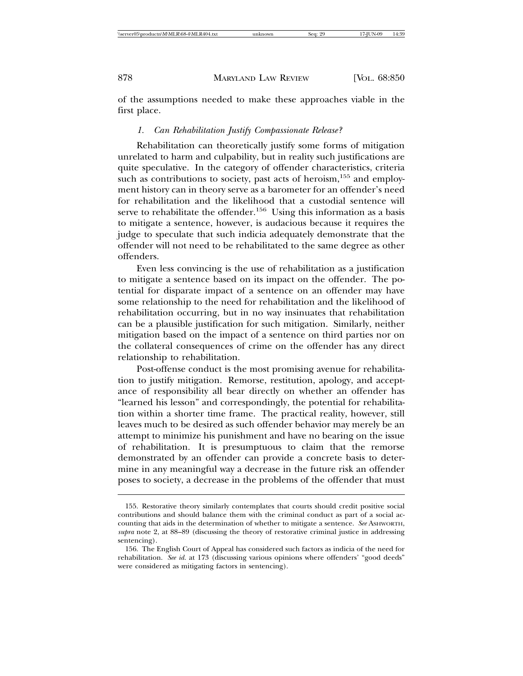of the assumptions needed to make these approaches viable in the first place.

#### *1. Can Rehabilitation Justify Compassionate Release?*

Rehabilitation can theoretically justify some forms of mitigation unrelated to harm and culpability, but in reality such justifications are quite speculative. In the category of offender characteristics, criteria such as contributions to society, past acts of heroism, $155$  and employment history can in theory serve as a barometer for an offender's need for rehabilitation and the likelihood that a custodial sentence will serve to rehabilitate the offender.<sup>156</sup> Using this information as a basis to mitigate a sentence, however, is audacious because it requires the judge to speculate that such indicia adequately demonstrate that the offender will not need to be rehabilitated to the same degree as other offenders.

Even less convincing is the use of rehabilitation as a justification to mitigate a sentence based on its impact on the offender. The potential for disparate impact of a sentence on an offender may have some relationship to the need for rehabilitation and the likelihood of rehabilitation occurring, but in no way insinuates that rehabilitation can be a plausible justification for such mitigation. Similarly, neither mitigation based on the impact of a sentence on third parties nor on the collateral consequences of crime on the offender has any direct relationship to rehabilitation.

Post-offense conduct is the most promising avenue for rehabilitation to justify mitigation. Remorse, restitution, apology, and acceptance of responsibility all bear directly on whether an offender has "learned his lesson" and correspondingly, the potential for rehabilitation within a shorter time frame. The practical reality, however, still leaves much to be desired as such offender behavior may merely be an attempt to minimize his punishment and have no bearing on the issue of rehabilitation. It is presumptuous to claim that the remorse demonstrated by an offender can provide a concrete basis to determine in any meaningful way a decrease in the future risk an offender poses to society, a decrease in the problems of the offender that must

<sup>155.</sup> Restorative theory similarly contemplates that courts should credit positive social contributions and should balance them with the criminal conduct as part of a social accounting that aids in the determination of whether to mitigate a sentence. *See* ASHWORTH, *supra* note 2, at 88–89 (discussing the theory of restorative criminal justice in addressing sentencing).

<sup>156.</sup> The English Court of Appeal has considered such factors as indicia of the need for rehabilitation. *See id.* at 173 (discussing various opinions where offenders' "good deeds" were considered as mitigating factors in sentencing).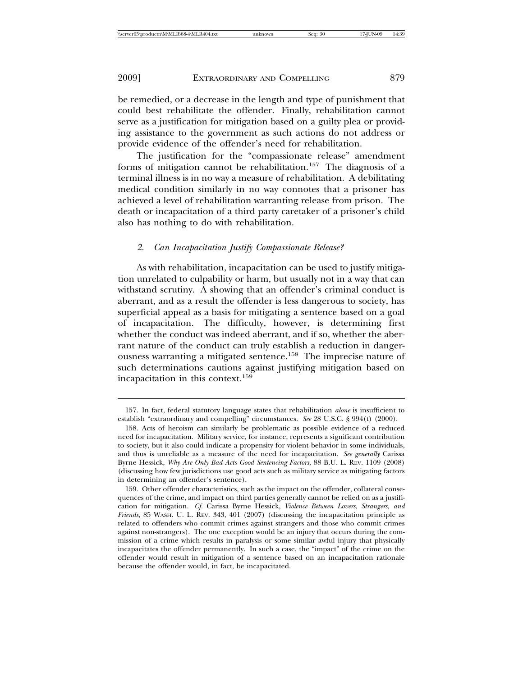be remedied, or a decrease in the length and type of punishment that could best rehabilitate the offender. Finally, rehabilitation cannot serve as a justification for mitigation based on a guilty plea or providing assistance to the government as such actions do not address or provide evidence of the offender's need for rehabilitation.

The justification for the "compassionate release" amendment forms of mitigation cannot be rehabilitation.<sup>157</sup> The diagnosis of a terminal illness is in no way a measure of rehabilitation. A debilitating medical condition similarly in no way connotes that a prisoner has achieved a level of rehabilitation warranting release from prison. The death or incapacitation of a third party caretaker of a prisoner's child also has nothing to do with rehabilitation.

#### *2. Can Incapacitation Justify Compassionate Release?*

As with rehabilitation, incapacitation can be used to justify mitigation unrelated to culpability or harm, but usually not in a way that can withstand scrutiny. A showing that an offender's criminal conduct is aberrant, and as a result the offender is less dangerous to society, has superficial appeal as a basis for mitigating a sentence based on a goal of incapacitation. The difficulty, however, is determining first whether the conduct was indeed aberrant, and if so, whether the aberrant nature of the conduct can truly establish a reduction in dangerousness warranting a mitigated sentence.<sup>158</sup> The imprecise nature of such determinations cautions against justifying mitigation based on incapacitation in this context.159

<sup>157.</sup> In fact, federal statutory language states that rehabilitation *alone* is insufficient to establish "extraordinary and compelling" circumstances. *See* 28 U.S.C. § 994(t) (2000).

<sup>158.</sup> Acts of heroism can similarly be problematic as possible evidence of a reduced need for incapacitation. Military service, for instance, represents a significant contribution to society, but it also could indicate a propensity for violent behavior in some individuals, and thus is unreliable as a measure of the need for incapacitation. *See generally* Carissa Byrne Hessick, *Why Are Only Bad Acts Good Sentencing Factors*, 88 B.U. L. REV. 1109 (2008) (discussing how few jurisdictions use good acts such as military service as mitigating factors in determining an offender's sentence).

<sup>159.</sup> Other offender characteristics, such as the impact on the offender, collateral consequences of the crime, and impact on third parties generally cannot be relied on as a justification for mitigation. *Cf.* Carissa Byrne Hessick, *Violence Between Lovers, Strangers, and Friends*, 85 WASH. U. L. REV. 343, 401 (2007) (discussing the incapacitation principle as related to offenders who commit crimes against strangers and those who commit crimes against non-strangers). The one exception would be an injury that occurs during the commission of a crime which results in paralysis or some similar awful injury that physically incapacitates the offender permanently. In such a case, the "impact" of the crime on the offender would result in mitigation of a sentence based on an incapacitation rationale because the offender would, in fact, be incapacitated.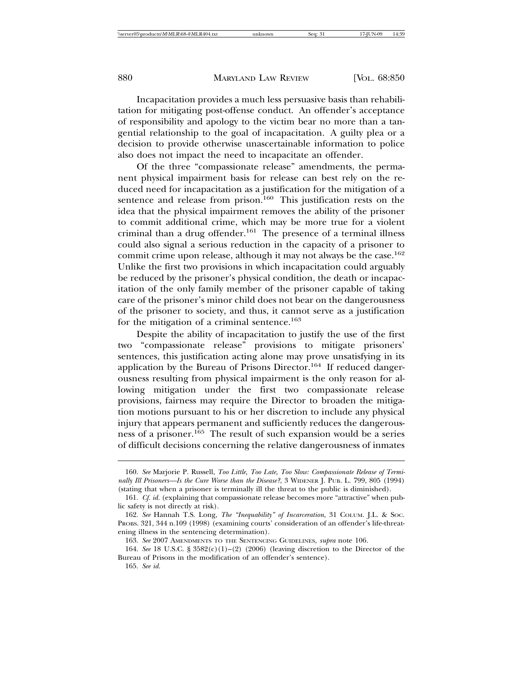Incapacitation provides a much less persuasive basis than rehabilitation for mitigating post-offense conduct. An offender's acceptance of responsibility and apology to the victim bear no more than a tangential relationship to the goal of incapacitation. A guilty plea or a decision to provide otherwise unascertainable information to police also does not impact the need to incapacitate an offender.

Of the three "compassionate release" amendments, the permanent physical impairment basis for release can best rely on the reduced need for incapacitation as a justification for the mitigation of a sentence and release from prison.<sup>160</sup> This justification rests on the idea that the physical impairment removes the ability of the prisoner to commit additional crime, which may be more true for a violent criminal than a drug offender.<sup>161</sup> The presence of a terminal illness could also signal a serious reduction in the capacity of a prisoner to commit crime upon release, although it may not always be the case.<sup>162</sup> Unlike the first two provisions in which incapacitation could arguably be reduced by the prisoner's physical condition, the death or incapacitation of the only family member of the prisoner capable of taking care of the prisoner's minor child does not bear on the dangerousness of the prisoner to society, and thus, it cannot serve as a justification for the mitigation of a criminal sentence.<sup>163</sup>

Despite the ability of incapacitation to justify the use of the first two "compassionate release" provisions to mitigate prisoners' sentences, this justification acting alone may prove unsatisfying in its application by the Bureau of Prisons Director.<sup>164</sup> If reduced dangerousness resulting from physical impairment is the only reason for allowing mitigation under the first two compassionate release provisions, fairness may require the Director to broaden the mitigation motions pursuant to his or her discretion to include any physical injury that appears permanent and sufficiently reduces the dangerousness of a prisoner.165 The result of such expansion would be a series of difficult decisions concerning the relative dangerousness of inmates

<sup>160.</sup> *See* Marjorie P. Russell, *Too Little, Too Late, Too Slow: Compassionate Release of Terminally Ill Prisoners—Is the Cure Worse than the Disease?*, 3 WIDENER J. PUB. L. 799, 805 (1994) (stating that when a prisoner is terminally ill the threat to the public is diminished).

<sup>161.</sup> *Cf. id.* (explaining that compassionate release becomes more "attractive" when public safety is not directly at risk).

<sup>162.</sup> *See* Hannah T.S. Long, *The "Inequability" of Incarceration*, 31 COLUM. J.L. & SOC. PROBS. 321, 344 n.109 (1998) (examining courts' consideration of an offender's life-threatening illness in the sentencing determination).

<sup>163.</sup> *See* 2007 AMENDMENTS TO THE SENTENCING GUIDELINES, *supra* note 106*.*

<sup>164.</sup> *See* 18 U.S.C. § 3582(c)(1)–(2) (2006) (leaving discretion to the Director of the Bureau of Prisons in the modification of an offender's sentence).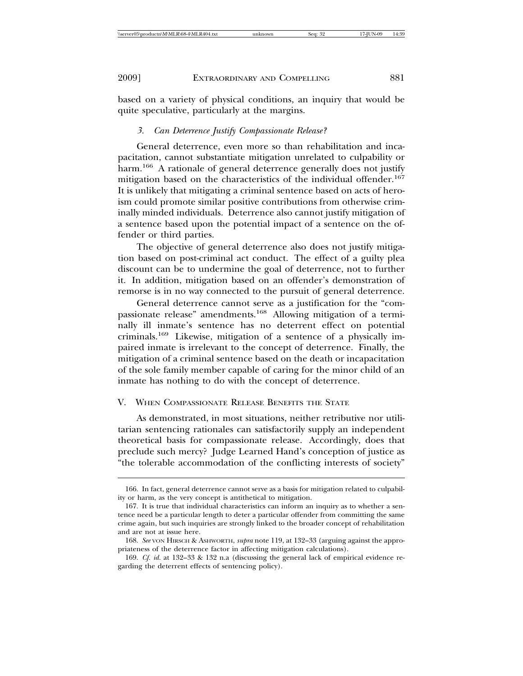based on a variety of physical conditions, an inquiry that would be quite speculative, particularly at the margins.

#### *3. Can Deterrence Justify Compassionate Release?*

General deterrence, even more so than rehabilitation and incapacitation, cannot substantiate mitigation unrelated to culpability or harm.166 A rationale of general deterrence generally does not justify mitigation based on the characteristics of the individual offender.<sup>167</sup> It is unlikely that mitigating a criminal sentence based on acts of heroism could promote similar positive contributions from otherwise criminally minded individuals. Deterrence also cannot justify mitigation of a sentence based upon the potential impact of a sentence on the offender or third parties.

The objective of general deterrence also does not justify mitigation based on post-criminal act conduct. The effect of a guilty plea discount can be to undermine the goal of deterrence, not to further it. In addition, mitigation based on an offender's demonstration of remorse is in no way connected to the pursuit of general deterrence.

General deterrence cannot serve as a justification for the "compassionate release" amendments.168 Allowing mitigation of a terminally ill inmate's sentence has no deterrent effect on potential criminals.169 Likewise, mitigation of a sentence of a physically impaired inmate is irrelevant to the concept of deterrence. Finally, the mitigation of a criminal sentence based on the death or incapacitation of the sole family member capable of caring for the minor child of an inmate has nothing to do with the concept of deterrence.

#### V. WHEN COMPASSIONATE RELEASE BENEFITS THE STATE

As demonstrated, in most situations, neither retributive nor utilitarian sentencing rationales can satisfactorily supply an independent theoretical basis for compassionate release. Accordingly, does that preclude such mercy? Judge Learned Hand's conception of justice as "the tolerable accommodation of the conflicting interests of society"

<sup>166.</sup> In fact, general deterrence cannot serve as a basis for mitigation related to culpability or harm, as the very concept is antithetical to mitigation.

<sup>167.</sup> It is true that individual characteristics can inform an inquiry as to whether a sentence need be a particular length to deter a particular offender from committing the same crime again, but such inquiries are strongly linked to the broader concept of rehabilitation and are not at issue here.

<sup>168.</sup> *See* VON HIRSCH & ASHWORTH, *supra* note 119, at 132–33 (arguing against the appropriateness of the deterrence factor in affecting mitigation calculations).

<sup>169.</sup> *Cf. id.* at 132–33 & 132 n.a (discussing the general lack of empirical evidence regarding the deterrent effects of sentencing policy).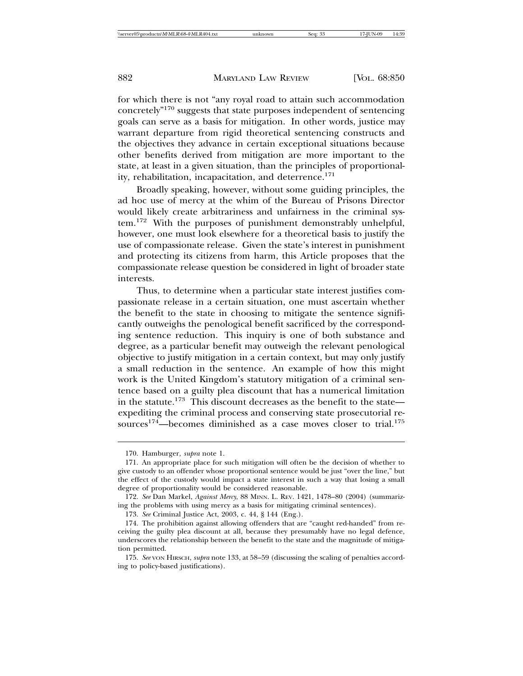for which there is not "any royal road to attain such accommodation concretely"170 suggests that state purposes independent of sentencing goals can serve as a basis for mitigation. In other words, justice may warrant departure from rigid theoretical sentencing constructs and the objectives they advance in certain exceptional situations because other benefits derived from mitigation are more important to the state, at least in a given situation, than the principles of proportionality, rehabilitation, incapacitation, and deterrence.<sup>171</sup>

Broadly speaking, however, without some guiding principles, the ad hoc use of mercy at the whim of the Bureau of Prisons Director would likely create arbitrariness and unfairness in the criminal system.172 With the purposes of punishment demonstrably unhelpful, however, one must look elsewhere for a theoretical basis to justify the use of compassionate release. Given the state's interest in punishment and protecting its citizens from harm, this Article proposes that the compassionate release question be considered in light of broader state interests.

Thus, to determine when a particular state interest justifies compassionate release in a certain situation, one must ascertain whether the benefit to the state in choosing to mitigate the sentence significantly outweighs the penological benefit sacrificed by the corresponding sentence reduction. This inquiry is one of both substance and degree, as a particular benefit may outweigh the relevant penological objective to justify mitigation in a certain context, but may only justify a small reduction in the sentence. An example of how this might work is the United Kingdom's statutory mitigation of a criminal sentence based on a guilty plea discount that has a numerical limitation in the statute.<sup>173</sup> This discount decreases as the benefit to the state expediting the criminal process and conserving state prosecutorial resources<sup>174</sup>—becomes diminished as a case moves closer to trial.<sup>175</sup>

<sup>170.</sup> Hamburger, *supra* note 1.

<sup>171.</sup> An appropriate place for such mitigation will often be the decision of whether to give custody to an offender whose proportional sentence would be just "over the line," but the effect of the custody would impact a state interest in such a way that losing a small degree of proportionality would be considered reasonable.

<sup>172.</sup> *See* Dan Markel, *Against Mercy*, 88 MINN. L. REV. 1421, 1478–80 (2004) (summarizing the problems with using mercy as a basis for mitigating criminal sentences).

<sup>173.</sup> *See* Criminal Justice Act, 2003, c. 44, § 144 (Eng.).

<sup>174.</sup> The prohibition against allowing offenders that are "caught red-handed" from receiving the guilty plea discount at all, because they presumably have no legal defence, underscores the relationship between the benefit to the state and the magnitude of mitigation permitted.

<sup>175.</sup> *See* VON HIRSCH, *supra* note 133, at 58–59 (discussing the scaling of penalties according to policy-based justifications).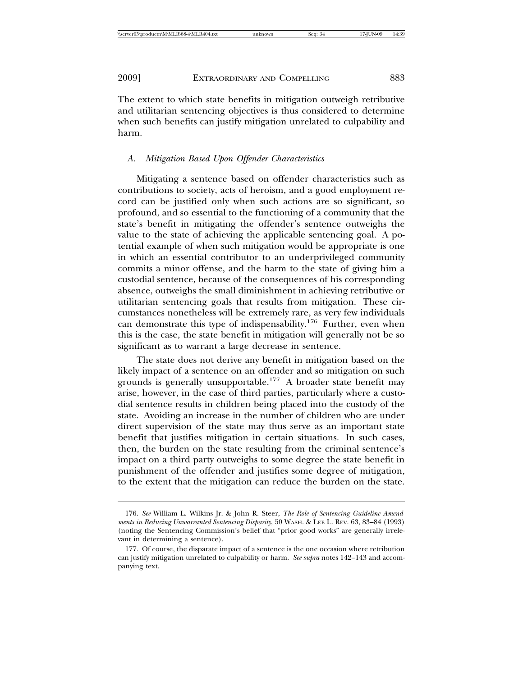The extent to which state benefits in mitigation outweigh retributive and utilitarian sentencing objectives is thus considered to determine when such benefits can justify mitigation unrelated to culpability and harm.

#### *A. Mitigation Based Upon Offender Characteristics*

Mitigating a sentence based on offender characteristics such as contributions to society, acts of heroism, and a good employment record can be justified only when such actions are so significant, so profound, and so essential to the functioning of a community that the state's benefit in mitigating the offender's sentence outweighs the value to the state of achieving the applicable sentencing goal. A potential example of when such mitigation would be appropriate is one in which an essential contributor to an underprivileged community commits a minor offense, and the harm to the state of giving him a custodial sentence, because of the consequences of his corresponding absence, outweighs the small diminishment in achieving retributive or utilitarian sentencing goals that results from mitigation. These circumstances nonetheless will be extremely rare, as very few individuals can demonstrate this type of indispensability.176 Further, even when this is the case, the state benefit in mitigation will generally not be so significant as to warrant a large decrease in sentence.

The state does not derive any benefit in mitigation based on the likely impact of a sentence on an offender and so mitigation on such grounds is generally unsupportable.<sup>177</sup> A broader state benefit may arise, however, in the case of third parties, particularly where a custodial sentence results in children being placed into the custody of the state. Avoiding an increase in the number of children who are under direct supervision of the state may thus serve as an important state benefit that justifies mitigation in certain situations. In such cases, then, the burden on the state resulting from the criminal sentence's impact on a third party outweighs to some degree the state benefit in punishment of the offender and justifies some degree of mitigation, to the extent that the mitigation can reduce the burden on the state.

<sup>176.</sup> *See* William L. Wilkins Jr. & John R. Steer, *The Role of Sentencing Guideline Amendments in Reducing Unwarranted Sentencing Disparity*, 50 WASH. & LEE L. REV. 63, 83–84 (1993) (noting the Sentencing Commission's belief that "prior good works" are generally irrelevant in determining a sentence).

<sup>177.</sup> Of course, the disparate impact of a sentence is the one occasion where retribution can justify mitigation unrelated to culpability or harm. *See supra* notes 142–143 and accompanying text.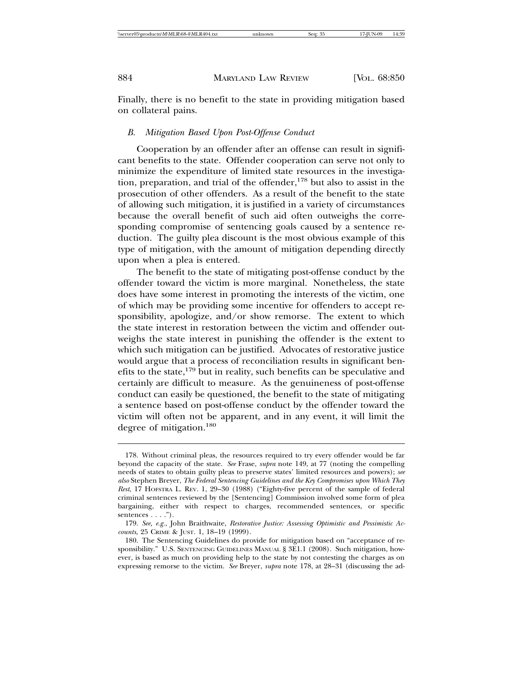Finally, there is no benefit to the state in providing mitigation based on collateral pains.

#### *B. Mitigation Based Upon Post-Offense Conduct*

Cooperation by an offender after an offense can result in significant benefits to the state. Offender cooperation can serve not only to minimize the expenditure of limited state resources in the investigation, preparation, and trial of the offender,<sup>178</sup> but also to assist in the prosecution of other offenders. As a result of the benefit to the state of allowing such mitigation, it is justified in a variety of circumstances because the overall benefit of such aid often outweighs the corresponding compromise of sentencing goals caused by a sentence reduction. The guilty plea discount is the most obvious example of this type of mitigation, with the amount of mitigation depending directly upon when a plea is entered.

The benefit to the state of mitigating post-offense conduct by the offender toward the victim is more marginal. Nonetheless, the state does have some interest in promoting the interests of the victim, one of which may be providing some incentive for offenders to accept responsibility, apologize, and/or show remorse. The extent to which the state interest in restoration between the victim and offender outweighs the state interest in punishing the offender is the extent to which such mitigation can be justified. Advocates of restorative justice would argue that a process of reconciliation results in significant benefits to the state,<sup>179</sup> but in reality, such benefits can be speculative and certainly are difficult to measure. As the genuineness of post-offense conduct can easily be questioned, the benefit to the state of mitigating a sentence based on post-offense conduct by the offender toward the victim will often not be apparent, and in any event, it will limit the degree of mitigation.<sup>180</sup>

<sup>178.</sup> Without criminal pleas, the resources required to try every offender would be far beyond the capacity of the state. *See* Frase, *supra* note 149, at 77 (noting the compelling needs of states to obtain guilty pleas to preserve states' limited resources and powers); *see also* Stephen Breyer, *The Federal Sentencing Guidelines and the Key Compromises upon Which They Rest*, 17 HOFSTRA L. REV. 1, 29–30 (1988) ("Eighty-five percent of the sample of federal criminal sentences reviewed by the [Sentencing] Commission involved some form of plea bargaining, either with respect to charges, recommended sentences, or specific sentences  $\dots$ .").

<sup>179.</sup> *See, e.g.*, John Braithwaite, *Restorative Justice: Assessing Optimistic and Pessimistic Accounts*, 25 CRIME & JUST. 1, 18–19 (1999).

<sup>180.</sup> The Sentencing Guidelines do provide for mitigation based on "acceptance of responsibility." U.S. SENTENCING GUIDELINES MANUAL § 3E1.1 (2008). Such mitigation, however, is based as much on providing help to the state by not contesting the charges as on expressing remorse to the victim. *See* Breyer, *supra* note 178, at 28–31 (discussing the ad-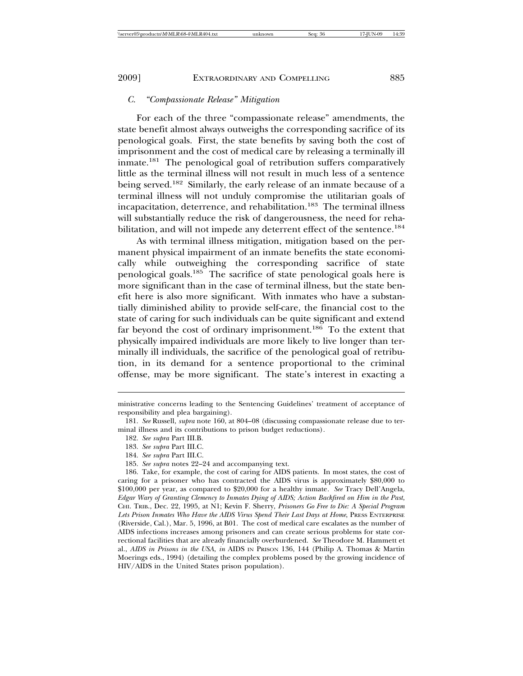#### *C. "Compassionate Release" Mitigation*

For each of the three "compassionate release" amendments, the state benefit almost always outweighs the corresponding sacrifice of its penological goals. First, the state benefits by saving both the cost of imprisonment and the cost of medical care by releasing a terminally ill inmate.181 The penological goal of retribution suffers comparatively little as the terminal illness will not result in much less of a sentence being served.<sup>182</sup> Similarly, the early release of an inmate because of a terminal illness will not unduly compromise the utilitarian goals of incapacitation, deterrence, and rehabilitation.<sup>183</sup> The terminal illness will substantially reduce the risk of dangerousness, the need for rehabilitation, and will not impede any deterrent effect of the sentence.<sup>184</sup>

As with terminal illness mitigation, mitigation based on the permanent physical impairment of an inmate benefits the state economically while outweighing the corresponding sacrifice of state penological goals.185 The sacrifice of state penological goals here is more significant than in the case of terminal illness, but the state benefit here is also more significant. With inmates who have a substantially diminished ability to provide self-care, the financial cost to the state of caring for such individuals can be quite significant and extend far beyond the cost of ordinary imprisonment.<sup>186</sup> To the extent that physically impaired individuals are more likely to live longer than terminally ill individuals, the sacrifice of the penological goal of retribution, in its demand for a sentence proportional to the criminal offense, may be more significant. The state's interest in exacting a

185. *See supra* notes 22–24 and accompanying text.

ministrative concerns leading to the Sentencing Guidelines' treatment of acceptance of responsibility and plea bargaining).

<sup>181.</sup> *See* Russell, *supra* note 160, at 804–08 (discussing compassionate release due to terminal illness and its contributions to prison budget reductions)*.*

<sup>182.</sup> *See supra* Part III.B.

<sup>183.</sup> *See supra* Part III.C*.*

<sup>184.</sup> *See supra* Part III.C*.*

<sup>186.</sup> Take, for example, the cost of caring for AIDS patients. In most states, the cost of caring for a prisoner who has contracted the AIDS virus is approximately \$80,000 to \$100,000 per year, as compared to \$20,000 for a healthy inmate*. See* Tracy Dell'Angela, *Edgar Wary of Granting Clemency to Inmates Dying of AIDS; Action Backfired on Him in the Past*, CHI. TRIB., Dec. 22, 1995, at N1; Kevin F. Sherry, *Prisoners Go Free to Die: A Special Program Lets Prison Inmates Who Have the AIDS Virus Spend Their Last Days at Home*, PRESS ENTERPRISE (Riverside, Cal.), Mar. 5, 1996, at B01. The cost of medical care escalates as the number of AIDS infections increases among prisoners and can create serious problems for state correctional facilities that are already financially overburdened. *See* Theodore M. Hammett et al., *AIDS in Prisons in the USA*, *in* AIDS IN PRISON 136, 144 (Philip A. Thomas & Martin Moerings eds., 1994) (detailing the complex problems posed by the growing incidence of HIV/AIDS in the United States prison population).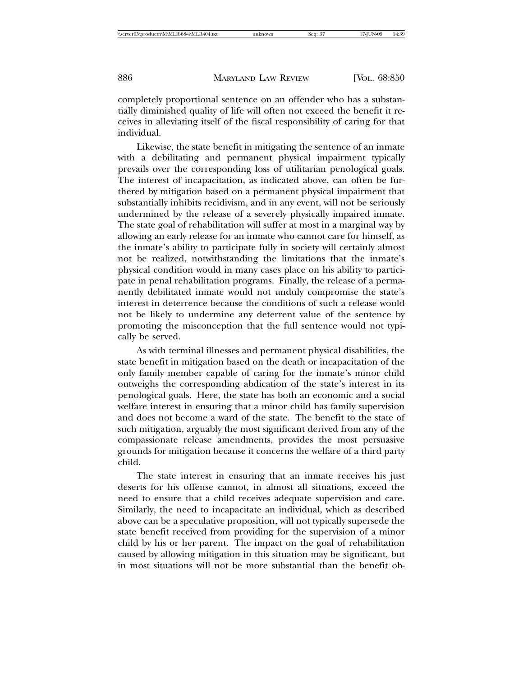completely proportional sentence on an offender who has a substantially diminished quality of life will often not exceed the benefit it receives in alleviating itself of the fiscal responsibility of caring for that individual.

Likewise, the state benefit in mitigating the sentence of an inmate with a debilitating and permanent physical impairment typically prevails over the corresponding loss of utilitarian penological goals. The interest of incapacitation, as indicated above, can often be furthered by mitigation based on a permanent physical impairment that substantially inhibits recidivism, and in any event, will not be seriously undermined by the release of a severely physically impaired inmate. The state goal of rehabilitation will suffer at most in a marginal way by allowing an early release for an inmate who cannot care for himself, as the inmate's ability to participate fully in society will certainly almost not be realized, notwithstanding the limitations that the inmate's physical condition would in many cases place on his ability to participate in penal rehabilitation programs. Finally, the release of a permanently debilitated inmate would not unduly compromise the state's interest in deterrence because the conditions of such a release would not be likely to undermine any deterrent value of the sentence by promoting the misconception that the full sentence would not typically be served.

As with terminal illnesses and permanent physical disabilities, the state benefit in mitigation based on the death or incapacitation of the only family member capable of caring for the inmate's minor child outweighs the corresponding abdication of the state's interest in its penological goals. Here, the state has both an economic and a social welfare interest in ensuring that a minor child has family supervision and does not become a ward of the state. The benefit to the state of such mitigation, arguably the most significant derived from any of the compassionate release amendments, provides the most persuasive grounds for mitigation because it concerns the welfare of a third party child.

The state interest in ensuring that an inmate receives his just deserts for his offense cannot, in almost all situations, exceed the need to ensure that a child receives adequate supervision and care. Similarly, the need to incapacitate an individual, which as described above can be a speculative proposition, will not typically supersede the state benefit received from providing for the supervision of a minor child by his or her parent. The impact on the goal of rehabilitation caused by allowing mitigation in this situation may be significant, but in most situations will not be more substantial than the benefit ob-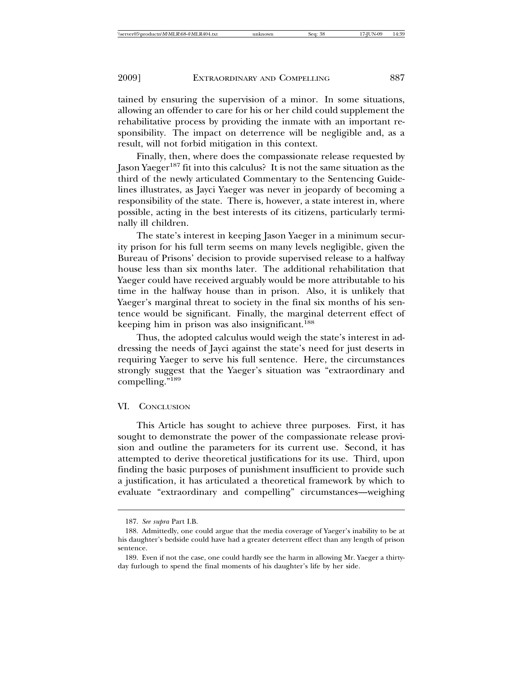tained by ensuring the supervision of a minor. In some situations, allowing an offender to care for his or her child could supplement the rehabilitative process by providing the inmate with an important responsibility. The impact on deterrence will be negligible and, as a result, will not forbid mitigation in this context.

Finally, then, where does the compassionate release requested by Jason Yaeger<sup>187</sup> fit into this calculus? It is not the same situation as the third of the newly articulated Commentary to the Sentencing Guidelines illustrates, as Jayci Yaeger was never in jeopardy of becoming a responsibility of the state. There is, however, a state interest in, where possible, acting in the best interests of its citizens, particularly terminally ill children.

The state's interest in keeping Jason Yaeger in a minimum security prison for his full term seems on many levels negligible, given the Bureau of Prisons' decision to provide supervised release to a halfway house less than six months later. The additional rehabilitation that Yaeger could have received arguably would be more attributable to his time in the halfway house than in prison. Also, it is unlikely that Yaeger's marginal threat to society in the final six months of his sentence would be significant. Finally, the marginal deterrent effect of keeping him in prison was also insignificant.<sup>188</sup>

Thus, the adopted calculus would weigh the state's interest in addressing the needs of Jayci against the state's need for just deserts in requiring Yaeger to serve his full sentence. Here, the circumstances strongly suggest that the Yaeger's situation was "extraordinary and compelling."<sup>189</sup>

#### VI. CONCLUSION

This Article has sought to achieve three purposes. First, it has sought to demonstrate the power of the compassionate release provision and outline the parameters for its current use. Second, it has attempted to derive theoretical justifications for its use. Third, upon finding the basic purposes of punishment insufficient to provide such a justification, it has articulated a theoretical framework by which to evaluate "extraordinary and compelling" circumstances—weighing

<sup>187.</sup> *See supra* Part I.B.

<sup>188.</sup> Admittedly, one could argue that the media coverage of Yaeger's inability to be at his daughter's bedside could have had a greater deterrent effect than any length of prison sentence.

<sup>189.</sup> Even if not the case, one could hardly see the harm in allowing Mr. Yaeger a thirtyday furlough to spend the final moments of his daughter's life by her side.